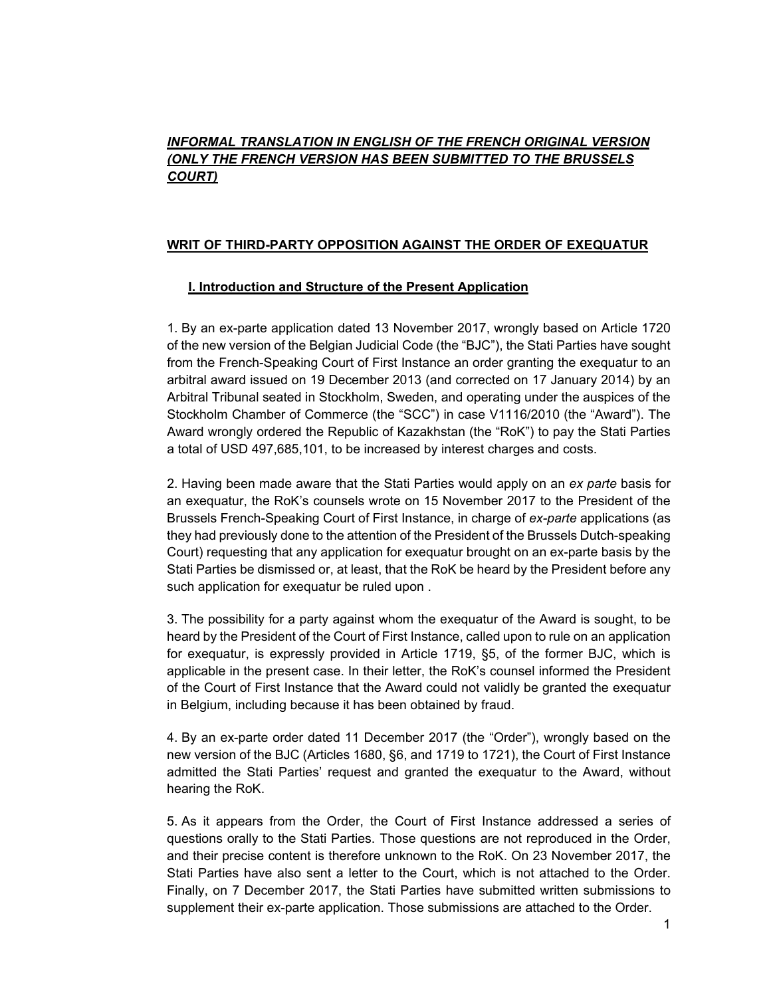# *INFORMAL TRANSLATION IN ENGLISH OF THE FRENCH ORIGINAL VERSION (ONLY THE FRENCH VERSION HAS BEEN SUBMITTED TO THE BRUSSELS COURT)*

# **WRIT OF THIRD-PARTY OPPOSITION AGAINST THE ORDER OF EXEQUATUR**

## **I. Introduction and Structure of the Present Application**

1. By an ex-parte application dated 13 November 2017, wrongly based on Article 1720 of the new version of the Belgian Judicial Code (the "BJC"), the Stati Parties have sought from the French-Speaking Court of First Instance an order granting the exequatur to an arbitral award issued on 19 December 2013 (and corrected on 17 January 2014) by an Arbitral Tribunal seated in Stockholm, Sweden, and operating under the auspices of the Stockholm Chamber of Commerce (the "SCC") in case V1116/2010 (the "Award"). The Award wrongly ordered the Republic of Kazakhstan (the "RoK") to pay the Stati Parties a total of USD 497,685,101, to be increased by interest charges and costs.

2. Having been made aware that the Stati Parties would apply on an *ex parte* basis for an exequatur, the RoK's counsels wrote on 15 November 2017 to the President of the Brussels French-Speaking Court of First Instance, in charge of *ex-parte* applications (as they had previously done to the attention of the President of the Brussels Dutch-speaking Court) requesting that any application for exequatur brought on an ex-parte basis by the Stati Parties be dismissed or, at least, that the RoK be heard by the President before any such application for exequatur be ruled upon .

3. The possibility for a party against whom the exequatur of the Award is sought, to be heard by the President of the Court of First Instance, called upon to rule on an application for exequatur, is expressly provided in Article 1719, §5, of the former BJC, which is applicable in the present case. In their letter, the RoK's counsel informed the President of the Court of First Instance that the Award could not validly be granted the exequatur in Belgium, including because it has been obtained by fraud.

4. By an ex-parte order dated 11 December 2017 (the "Order"), wrongly based on the new version of the BJC (Articles 1680, §6, and 1719 to 1721), the Court of First Instance admitted the Stati Parties' request and granted the exequatur to the Award, without hearing the RoK.

5. As it appears from the Order, the Court of First Instance addressed a series of questions orally to the Stati Parties. Those questions are not reproduced in the Order, and their precise content is therefore unknown to the RoK. On 23 November 2017, the Stati Parties have also sent a letter to the Court, which is not attached to the Order. Finally, on 7 December 2017, the Stati Parties have submitted written submissions to supplement their ex-parte application. Those submissions are attached to the Order.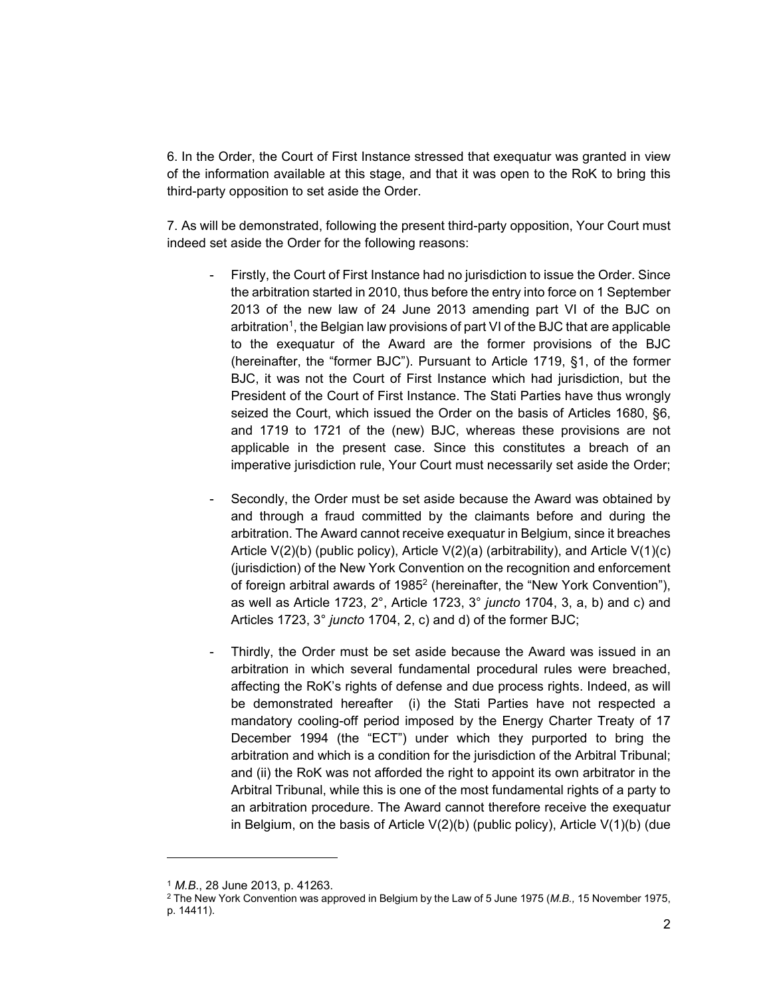6. In the Order, the Court of First Instance stressed that exequatur was granted in view of the information available at this stage, and that it was open to the RoK to bring this third-party opposition to set aside the Order.

7. As will be demonstrated, following the present third-party opposition, Your Court must indeed set aside the Order for the following reasons:

- Firstly, the Court of First Instance had no jurisdiction to issue the Order. Since the arbitration started in 2010, thus before the entry into force on 1 September 2013 of the new law of 24 June 2013 amending part VI of the BJC on arbitration<sup>1</sup>, the Belgian law provisions of part VI of the BJC that are applicable to the exequatur of the Award are the former provisions of the BJC (hereinafter, the "former BJC"). Pursuant to Article 1719, §1, of the former BJC, it was not the Court of First Instance which had jurisdiction, but the President of the Court of First Instance. The Stati Parties have thus wrongly seized the Court, which issued the Order on the basis of Articles 1680, §6, and 1719 to 1721 of the (new) BJC, whereas these provisions are not applicable in the present case. Since this constitutes a breach of an imperative jurisdiction rule, Your Court must necessarily set aside the Order;
- Secondly, the Order must be set aside because the Award was obtained by and through a fraud committed by the claimants before and during the arbitration. The Award cannot receive exequatur in Belgium, since it breaches Article  $V(2)(b)$  (public policy), Article  $V(2)(a)$  (arbitrability), and Article  $V(1)(c)$ (jurisdiction) of the New York Convention on the recognition and enforcement of foreign arbitral awards of 1985<sup>2</sup> (hereinafter, the "New York Convention"), as well as Article 1723, 2°, Article 1723, 3° *juncto* 1704, 3, a, b) and c) and Articles 1723, 3° *juncto* 1704, 2, c) and d) of the former BJC;
- Thirdly, the Order must be set aside because the Award was issued in an arbitration in which several fundamental procedural rules were breached, affecting the RoK's rights of defense and due process rights. Indeed, as will be demonstrated hereafter (i) the Stati Parties have not respected a mandatory cooling-off period imposed by the Energy Charter Treaty of 17 December 1994 (the "ECT") under which they purported to bring the arbitration and which is a condition for the jurisdiction of the Arbitral Tribunal; and (ii) the RoK was not afforded the right to appoint its own arbitrator in the Arbitral Tribunal, while this is one of the most fundamental rights of a party to an arbitration procedure. The Award cannot therefore receive the exequatur in Belgium, on the basis of Article V(2)(b) (public policy), Article V(1)(b) (due

 $\overline{a}$ 

<sup>&</sup>lt;sup>1</sup> M.B., 28 June 2013, p. 41263.<br><sup>2</sup> The New York Convention was approved in Belgium by the Law of 5 June 1975 (M.B., 15 November 1975, p. 14411).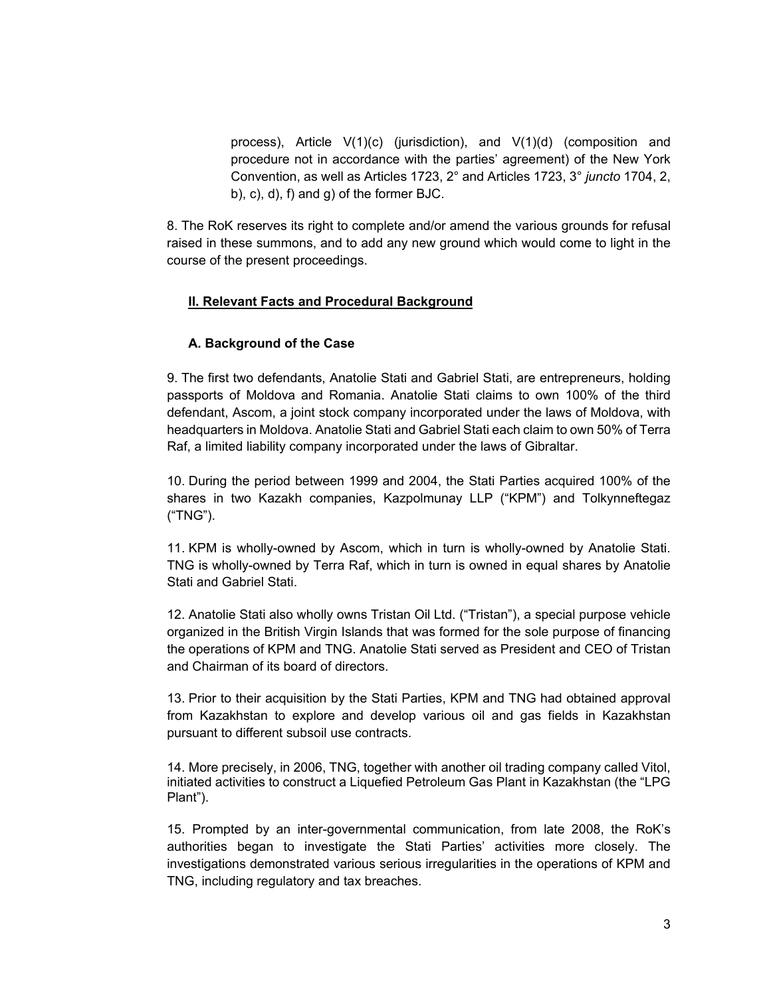process), Article V(1)(c) (jurisdiction), and V(1)(d) (composition and procedure not in accordance with the parties' agreement) of the New York Convention, as well as Articles 1723, 2° and Articles 1723, 3° *juncto* 1704, 2, b), c), d), f) and g) of the former BJC.

8. The RoK reserves its right to complete and/or amend the various grounds for refusal raised in these summons, and to add any new ground which would come to light in the course of the present proceedings.

## **II. Relevant Facts and Procedural Background**

#### **A. Background of the Case**

9. The first two defendants, Anatolie Stati and Gabriel Stati, are entrepreneurs, holding passports of Moldova and Romania. Anatolie Stati claims to own 100% of the third defendant, Ascom, a joint stock company incorporated under the laws of Moldova, with headquarters in Moldova. Anatolie Stati and Gabriel Stati each claim to own 50% of Terra Raf, a limited liability company incorporated under the laws of Gibraltar.

10. During the period between 1999 and 2004, the Stati Parties acquired 100% of the shares in two Kazakh companies, Kazpolmunay LLP ("KPM") and Tolkynneftegaz ("TNG").

11. KPM is wholly-owned by Ascom, which in turn is wholly-owned by Anatolie Stati. TNG is wholly-owned by Terra Raf, which in turn is owned in equal shares by Anatolie Stati and Gabriel Stati.

12. Anatolie Stati also wholly owns Tristan Oil Ltd. ("Tristan"), a special purpose vehicle organized in the British Virgin Islands that was formed for the sole purpose of financing the operations of KPM and TNG. Anatolie Stati served as President and CEO of Tristan and Chairman of its board of directors.

13. Prior to their acquisition by the Stati Parties, KPM and TNG had obtained approval from Kazakhstan to explore and develop various oil and gas fields in Kazakhstan pursuant to different subsoil use contracts.

14. More precisely, in 2006, TNG, together with another oil trading company called Vitol, initiated activities to construct a Liquefied Petroleum Gas Plant in Kazakhstan (the "LPG Plant").

15. Prompted by an inter-governmental communication, from late 2008, the RoK's authorities began to investigate the Stati Parties' activities more closely. The investigations demonstrated various serious irregularities in the operations of KPM and TNG, including regulatory and tax breaches.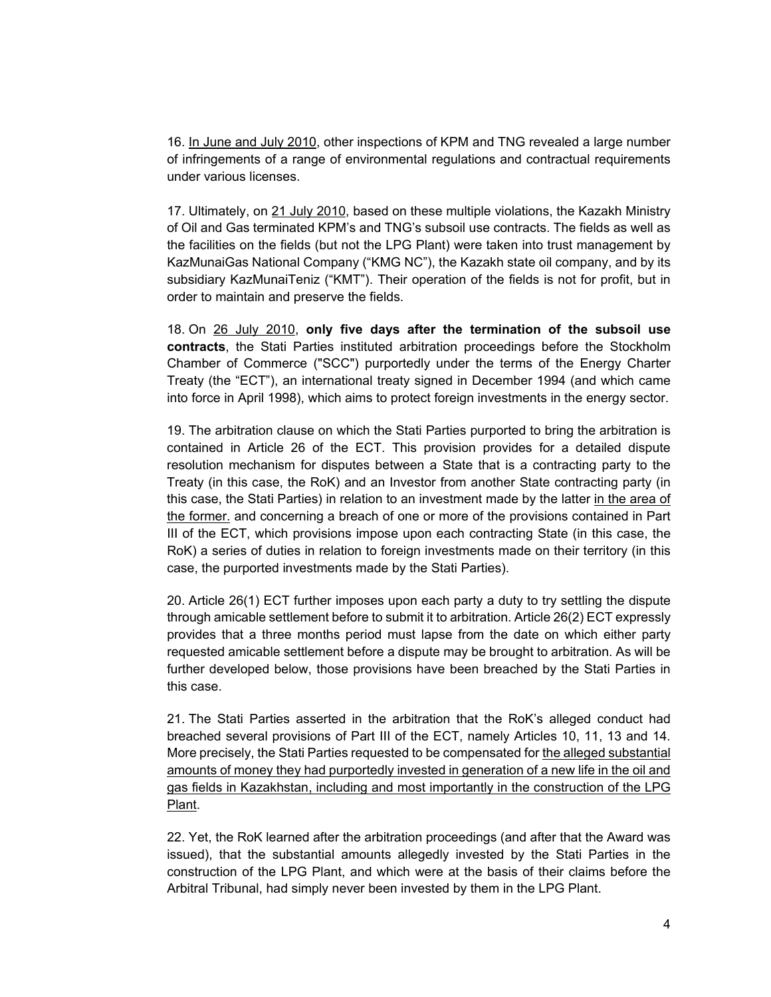16. In June and July 2010, other inspections of KPM and TNG revealed a large number of infringements of a range of environmental regulations and contractual requirements under various licenses.

17. Ultimately, on 21 July 2010, based on these multiple violations, the Kazakh Ministry of Oil and Gas terminated KPM's and TNG's subsoil use contracts. The fields as well as the facilities on the fields (but not the LPG Plant) were taken into trust management by KazMunaiGas National Company ("KMG NC"), the Kazakh state oil company, and by its subsidiary KazMunaiTeniz ("KMT"). Their operation of the fields is not for profit, but in order to maintain and preserve the fields.

18. On 26 July 2010, **only five days after the termination of the subsoil use contracts**, the Stati Parties instituted arbitration proceedings before the Stockholm Chamber of Commerce ("SCC") purportedly under the terms of the Energy Charter Treaty (the "ECT"), an international treaty signed in December 1994 (and which came into force in April 1998), which aims to protect foreign investments in the energy sector.

19. The arbitration clause on which the Stati Parties purported to bring the arbitration is contained in Article 26 of the ECT. This provision provides for a detailed dispute resolution mechanism for disputes between a State that is a contracting party to the Treaty (in this case, the RoK) and an Investor from another State contracting party (in this case, the Stati Parties) in relation to an investment made by the latter in the area of the former. and concerning a breach of one or more of the provisions contained in Part III of the ECT, which provisions impose upon each contracting State (in this case, the RoK) a series of duties in relation to foreign investments made on their territory (in this case, the purported investments made by the Stati Parties).

20. Article 26(1) ECT further imposes upon each party a duty to try settling the dispute through amicable settlement before to submit it to arbitration. Article 26(2) ECT expressly provides that a three months period must lapse from the date on which either party requested amicable settlement before a dispute may be brought to arbitration. As will be further developed below, those provisions have been breached by the Stati Parties in this case.

21. The Stati Parties asserted in the arbitration that the RoK's alleged conduct had breached several provisions of Part III of the ECT, namely Articles 10, 11, 13 and 14. More precisely, the Stati Parties requested to be compensated for the alleged substantial amounts of money they had purportedly invested in generation of a new life in the oil and gas fields in Kazakhstan, including and most importantly in the construction of the LPG Plant.

22. Yet, the RoK learned after the arbitration proceedings (and after that the Award was issued), that the substantial amounts allegedly invested by the Stati Parties in the construction of the LPG Plant, and which were at the basis of their claims before the Arbitral Tribunal, had simply never been invested by them in the LPG Plant.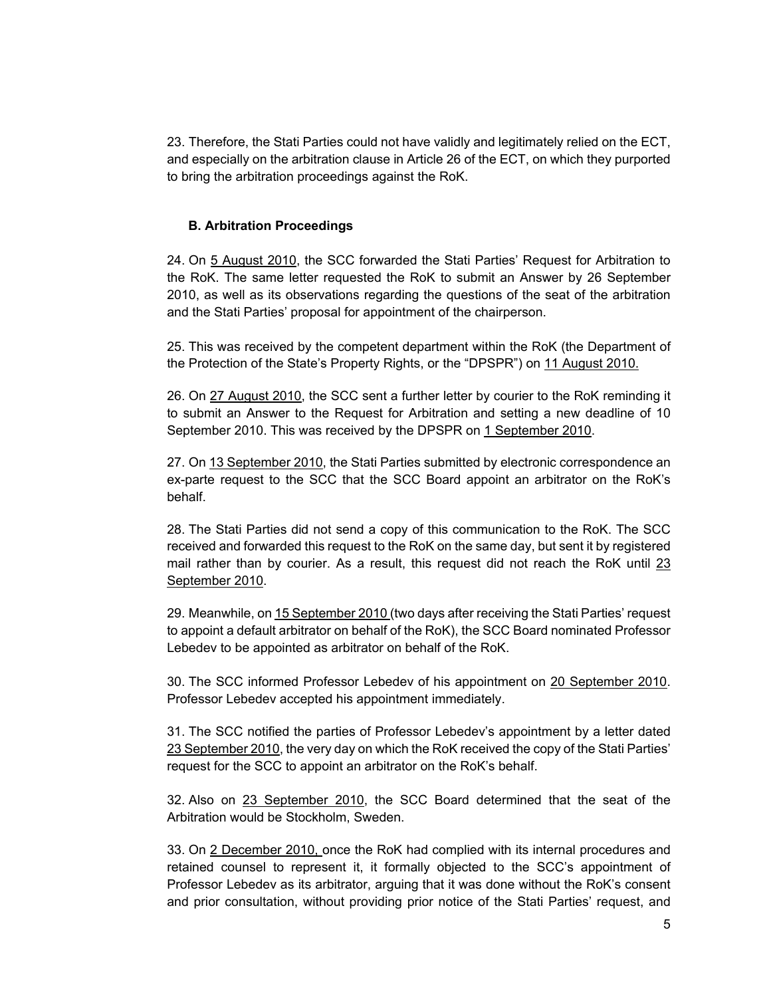23. Therefore, the Stati Parties could not have validly and legitimately relied on the ECT, and especially on the arbitration clause in Article 26 of the ECT, on which they purported to bring the arbitration proceedings against the RoK.

### **B. Arbitration Proceedings**

24. On 5 August 2010, the SCC forwarded the Stati Parties' Request for Arbitration to the RoK. The same letter requested the RoK to submit an Answer by 26 September 2010, as well as its observations regarding the questions of the seat of the arbitration and the Stati Parties' proposal for appointment of the chairperson.

25. This was received by the competent department within the RoK (the Department of the Protection of the State's Property Rights, or the "DPSPR") on 11 August 2010.

26. On 27 August 2010, the SCC sent a further letter by courier to the RoK reminding it to submit an Answer to the Request for Arbitration and setting a new deadline of 10 September 2010. This was received by the DPSPR on 1 September 2010.

27. On 13 September 2010, the Stati Parties submitted by electronic correspondence an ex-parte request to the SCC that the SCC Board appoint an arbitrator on the RoK's behalf.

28. The Stati Parties did not send a copy of this communication to the RoK. The SCC received and forwarded this request to the RoK on the same day, but sent it by registered mail rather than by courier. As a result, this request did not reach the RoK until 23 September 2010.

29. Meanwhile, on 15 September 2010 (two days after receiving the Stati Parties' request to appoint a default arbitrator on behalf of the RoK), the SCC Board nominated Professor Lebedev to be appointed as arbitrator on behalf of the RoK.

30. The SCC informed Professor Lebedev of his appointment on 20 September 2010. Professor Lebedev accepted his appointment immediately.

31. The SCC notified the parties of Professor Lebedev's appointment by a letter dated 23 September 2010, the very day on which the RoK received the copy of the Stati Parties' request for the SCC to appoint an arbitrator on the RoK's behalf.

32. Also on 23 September 2010, the SCC Board determined that the seat of the Arbitration would be Stockholm, Sweden.

33. On 2 December 2010, once the RoK had complied with its internal procedures and retained counsel to represent it, it formally objected to the SCC's appointment of Professor Lebedev as its arbitrator, arguing that it was done without the RoK's consent and prior consultation, without providing prior notice of the Stati Parties' request, and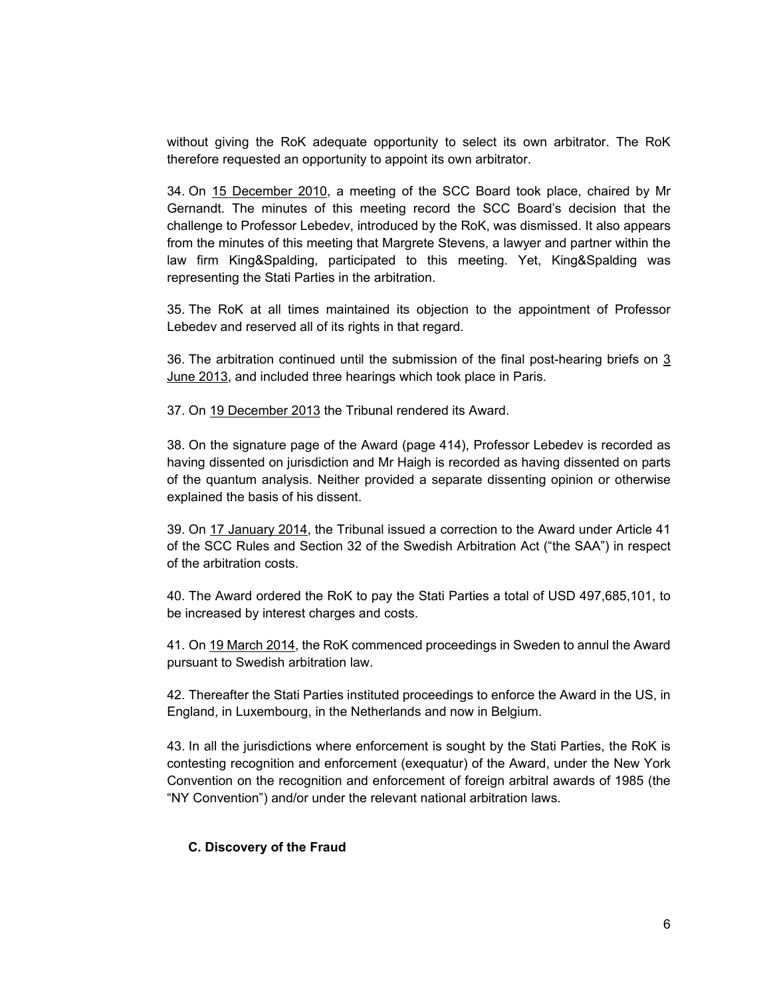without giving the RoK adequate opportunity to select its own arbitrator. The RoK therefore requested an opportunity to appoint its own arbitrator.

34. On 15 December 2010, a meeting of the SCC Board took place, chaired by Mr Gernandt. The minutes of this meeting record the SCC Board's decision that the challenge to Professor Lebedev, introduced by the RoK, was dismissed. It also appears from the minutes of this meeting that Margrete Stevens, a lawyer and partner within the law firm King&Spalding, participated to this meeting. Yet, King&Spalding was representing the Stati Parties in the arbitration.

35. The RoK at all times maintained its objection to the appointment of Professor Lebedev and reserved all of its rights in that regard.

36. The arbitration continued until the submission of the final post-hearing briefs on 3 June 2013, and included three hearings which took place in Paris.

37. On 19 December 2013 the Tribunal rendered its Award.

38. On the signature page of the Award (page 414), Professor Lebedev is recorded as having dissented on jurisdiction and Mr Haigh is recorded as having dissented on parts of the quantum analysis. Neither provided a separate dissenting opinion or otherwise explained the basis of his dissent.

39. On 17 January 2014, the Tribunal issued a correction to the Award under Article 41 of the SCC Rules and Section 32 of the Swedish Arbitration Act ("the SAA") in respect of the arbitration costs.

40. The Award ordered the RoK to pay the Stati Parties a total of USD 497,685,101, to be increased by interest charges and costs.

41. On 19 March 2014, the RoK commenced proceedings in Sweden to annul the Award pursuant to Swedish arbitration law.

42. Thereafter the Stati Parties instituted proceedings to enforce the Award in the US, in England, in Luxembourg, in the Netherlands and now in Belgium.

43. In all the jurisdictions where enforcement is sought by the Stati Parties, the RoK is contesting recognition and enforcement (exequatur) of the Award, under the New York Convention on the recognition and enforcement of foreign arbitral awards of 1985 (the "NY Convention") and/or under the relevant national arbitration laws.

#### **C. Discovery of the Fraud**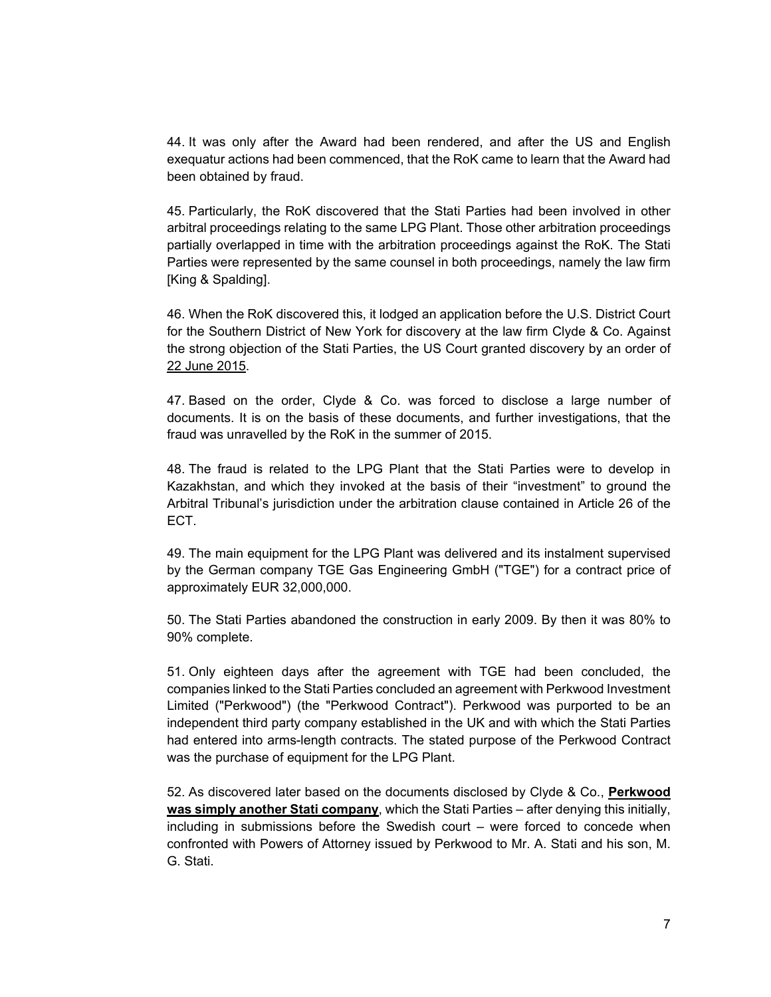44. It was only after the Award had been rendered, and after the US and English exequatur actions had been commenced, that the RoK came to learn that the Award had been obtained by fraud.

45. Particularly, the RoK discovered that the Stati Parties had been involved in other arbitral proceedings relating to the same LPG Plant. Those other arbitration proceedings partially overlapped in time with the arbitration proceedings against the RoK. The Stati Parties were represented by the same counsel in both proceedings, namely the law firm [King & Spalding].

46. When the RoK discovered this, it lodged an application before the U.S. District Court for the Southern District of New York for discovery at the law firm Clyde & Co. Against the strong objection of the Stati Parties, the US Court granted discovery by an order of 22 June 2015.

47. Based on the order, Clyde & Co. was forced to disclose a large number of documents. It is on the basis of these documents, and further investigations, that the fraud was unravelled by the RoK in the summer of 2015.

48. The fraud is related to the LPG Plant that the Stati Parties were to develop in Kazakhstan, and which they invoked at the basis of their "investment" to ground the Arbitral Tribunal's jurisdiction under the arbitration clause contained in Article 26 of the ECT.

49. The main equipment for the LPG Plant was delivered and its instalment supervised by the German company TGE Gas Engineering GmbH ("TGE") for a contract price of approximately EUR 32,000,000.

50. The Stati Parties abandoned the construction in early 2009. By then it was 80% to 90% complete.

51. Only eighteen days after the agreement with TGE had been concluded, the companies linked to the Stati Parties concluded an agreement with Perkwood Investment Limited ("Perkwood") (the "Perkwood Contract"). Perkwood was purported to be an independent third party company established in the UK and with which the Stati Parties had entered into arms-length contracts. The stated purpose of the Perkwood Contract was the purchase of equipment for the LPG Plant.

52. As discovered later based on the documents disclosed by Clyde & Co., **Perkwood was simply another Stati company**, which the Stati Parties – after denying this initially, including in submissions before the Swedish court – were forced to concede when confronted with Powers of Attorney issued by Perkwood to Mr. A. Stati and his son, M. G. Stati.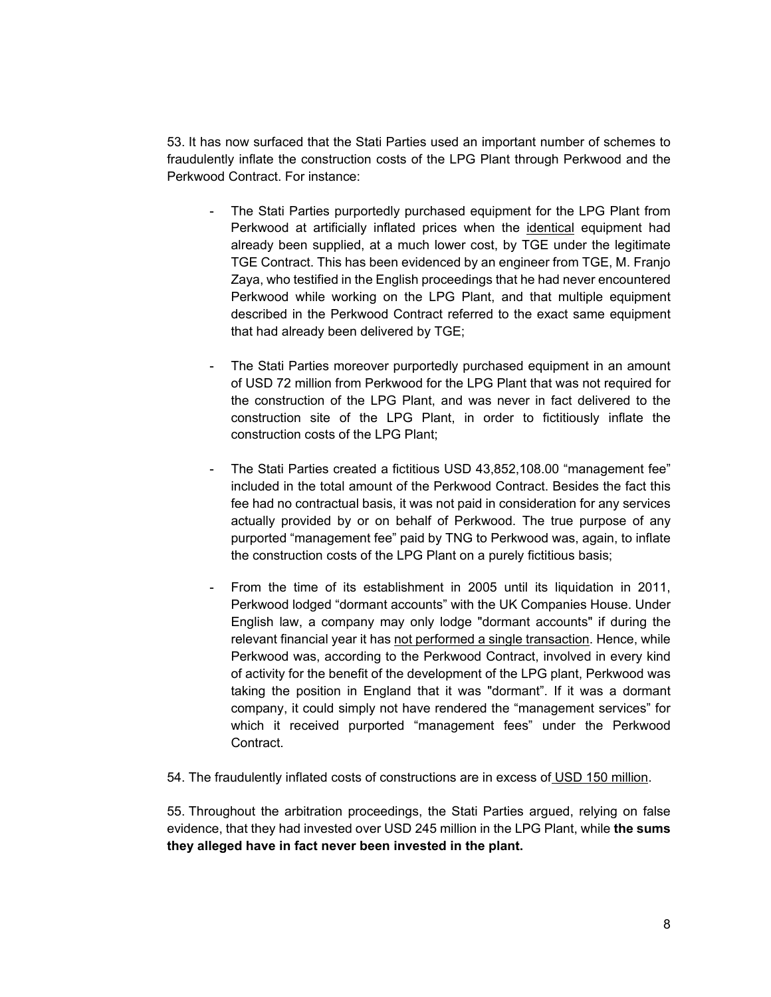53. It has now surfaced that the Stati Parties used an important number of schemes to fraudulently inflate the construction costs of the LPG Plant through Perkwood and the Perkwood Contract. For instance:

- The Stati Parties purportedly purchased equipment for the LPG Plant from Perkwood at artificially inflated prices when the identical equipment had already been supplied, at a much lower cost, by TGE under the legitimate TGE Contract. This has been evidenced by an engineer from TGE, M. Franjo Zaya, who testified in the English proceedings that he had never encountered Perkwood while working on the LPG Plant, and that multiple equipment described in the Perkwood Contract referred to the exact same equipment that had already been delivered by TGE;
- The Stati Parties moreover purportedly purchased equipment in an amount of USD 72 million from Perkwood for the LPG Plant that was not required for the construction of the LPG Plant, and was never in fact delivered to the construction site of the LPG Plant, in order to fictitiously inflate the construction costs of the LPG Plant;
- The Stati Parties created a fictitious USD 43,852,108.00 "management fee" included in the total amount of the Perkwood Contract. Besides the fact this fee had no contractual basis, it was not paid in consideration for any services actually provided by or on behalf of Perkwood. The true purpose of any purported "management fee" paid by TNG to Perkwood was, again, to inflate the construction costs of the LPG Plant on a purely fictitious basis;
- From the time of its establishment in 2005 until its liquidation in 2011, Perkwood lodged "dormant accounts" with the UK Companies House. Under English law, a company may only lodge "dormant accounts" if during the relevant financial year it has not performed a single transaction. Hence, while Perkwood was, according to the Perkwood Contract, involved in every kind of activity for the benefit of the development of the LPG plant, Perkwood was taking the position in England that it was "dormant". If it was a dormant company, it could simply not have rendered the "management services" for which it received purported "management fees" under the Perkwood **Contract**
- 54. The fraudulently inflated costs of constructions are in excess of USD 150 million.

55. Throughout the arbitration proceedings, the Stati Parties argued, relying on false evidence, that they had invested over USD 245 million in the LPG Plant, while **the sums they alleged have in fact never been invested in the plant.**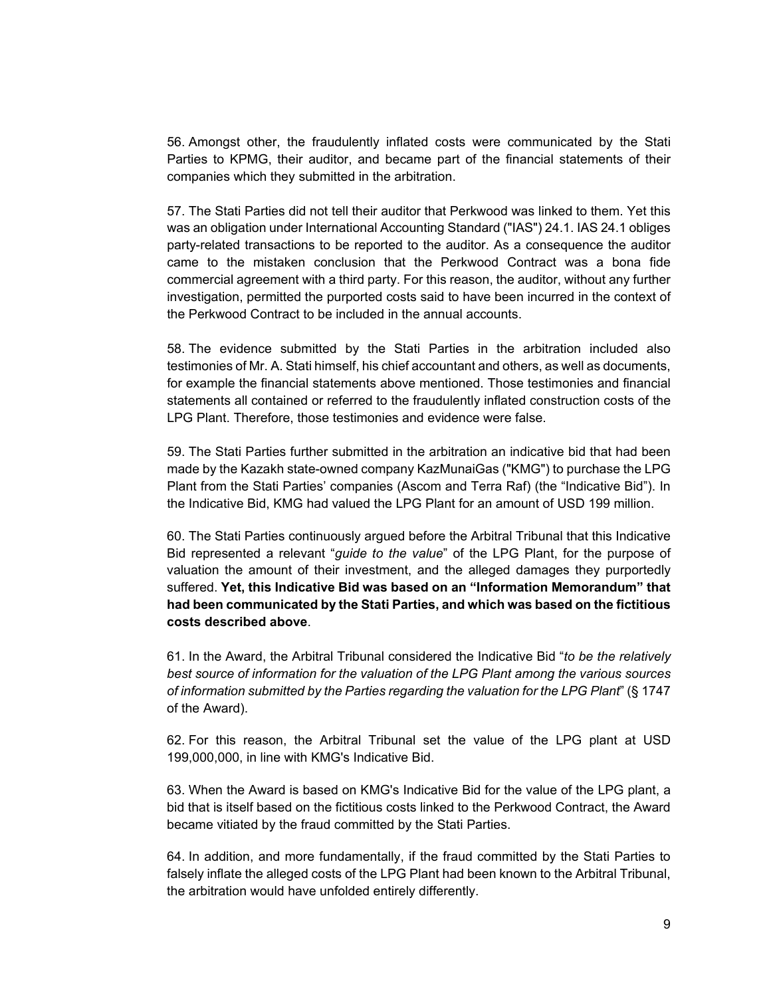56. Amongst other, the fraudulently inflated costs were communicated by the Stati Parties to KPMG, their auditor, and became part of the financial statements of their companies which they submitted in the arbitration.

57. The Stati Parties did not tell their auditor that Perkwood was linked to them. Yet this was an obligation under International Accounting Standard ("IAS") 24.1. IAS 24.1 obliges party-related transactions to be reported to the auditor. As a consequence the auditor came to the mistaken conclusion that the Perkwood Contract was a bona fide commercial agreement with a third party. For this reason, the auditor, without any further investigation, permitted the purported costs said to have been incurred in the context of the Perkwood Contract to be included in the annual accounts.

58. The evidence submitted by the Stati Parties in the arbitration included also testimonies of Mr. A. Stati himself, his chief accountant and others, as well as documents, for example the financial statements above mentioned. Those testimonies and financial statements all contained or referred to the fraudulently inflated construction costs of the LPG Plant. Therefore, those testimonies and evidence were false.

59. The Stati Parties further submitted in the arbitration an indicative bid that had been made by the Kazakh state-owned company KazMunaiGas ("KMG") to purchase the LPG Plant from the Stati Parties' companies (Ascom and Terra Raf) (the "Indicative Bid"). In the Indicative Bid, KMG had valued the LPG Plant for an amount of USD 199 million.

60. The Stati Parties continuously argued before the Arbitral Tribunal that this Indicative Bid represented a relevant "*guide to the value*" of the LPG Plant, for the purpose of valuation the amount of their investment, and the alleged damages they purportedly suffered. **Yet, this Indicative Bid was based on an "Information Memorandum" that had been communicated by the Stati Parties, and which was based on the fictitious costs described above**.

61. In the Award, the Arbitral Tribunal considered the Indicative Bid "*to be the relatively best source of information for the valuation of the LPG Plant among the various sources of information submitted by the Parties regarding the valuation for the LPG Plant*" (§ 1747 of the Award).

62. For this reason, the Arbitral Tribunal set the value of the LPG plant at USD 199,000,000, in line with KMG's Indicative Bid.

63. When the Award is based on KMG's Indicative Bid for the value of the LPG plant, a bid that is itself based on the fictitious costs linked to the Perkwood Contract, the Award became vitiated by the fraud committed by the Stati Parties.

64. In addition, and more fundamentally, if the fraud committed by the Stati Parties to falsely inflate the alleged costs of the LPG Plant had been known to the Arbitral Tribunal, the arbitration would have unfolded entirely differently.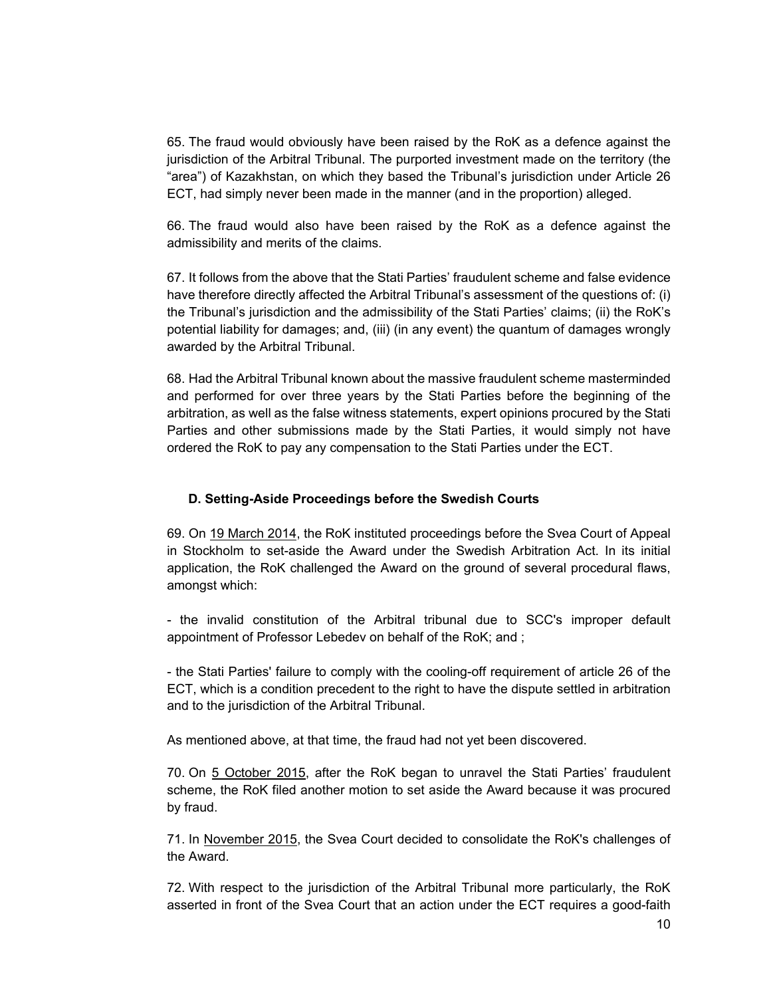65. The fraud would obviously have been raised by the RoK as a defence against the jurisdiction of the Arbitral Tribunal. The purported investment made on the territory (the "area") of Kazakhstan, on which they based the Tribunal's jurisdiction under Article 26 ECT, had simply never been made in the manner (and in the proportion) alleged.

66. The fraud would also have been raised by the RoK as a defence against the admissibility and merits of the claims.

67. It follows from the above that the Stati Parties' fraudulent scheme and false evidence have therefore directly affected the Arbitral Tribunal's assessment of the questions of: (i) the Tribunal's jurisdiction and the admissibility of the Stati Parties' claims; (ii) the RoK's potential liability for damages; and, (iii) (in any event) the quantum of damages wrongly awarded by the Arbitral Tribunal.

68. Had the Arbitral Tribunal known about the massive fraudulent scheme masterminded and performed for over three years by the Stati Parties before the beginning of the arbitration, as well as the false witness statements, expert opinions procured by the Stati Parties and other submissions made by the Stati Parties, it would simply not have ordered the RoK to pay any compensation to the Stati Parties under the ECT.

#### **D. Setting-Aside Proceedings before the Swedish Courts**

69. On 19 March 2014, the RoK instituted proceedings before the Svea Court of Appeal in Stockholm to set-aside the Award under the Swedish Arbitration Act. In its initial application, the RoK challenged the Award on the ground of several procedural flaws, amongst which:

- the invalid constitution of the Arbitral tribunal due to SCC's improper default appointment of Professor Lebedev on behalf of the RoK; and ;

- the Stati Parties' failure to comply with the cooling-off requirement of article 26 of the ECT, which is a condition precedent to the right to have the dispute settled in arbitration and to the jurisdiction of the Arbitral Tribunal.

As mentioned above, at that time, the fraud had not yet been discovered.

70. On 5 October 2015, after the RoK began to unravel the Stati Parties' fraudulent scheme, the RoK filed another motion to set aside the Award because it was procured by fraud.

71. In November 2015, the Svea Court decided to consolidate the RoK's challenges of the Award.

72. With respect to the jurisdiction of the Arbitral Tribunal more particularly, the RoK asserted in front of the Svea Court that an action under the ECT requires a good-faith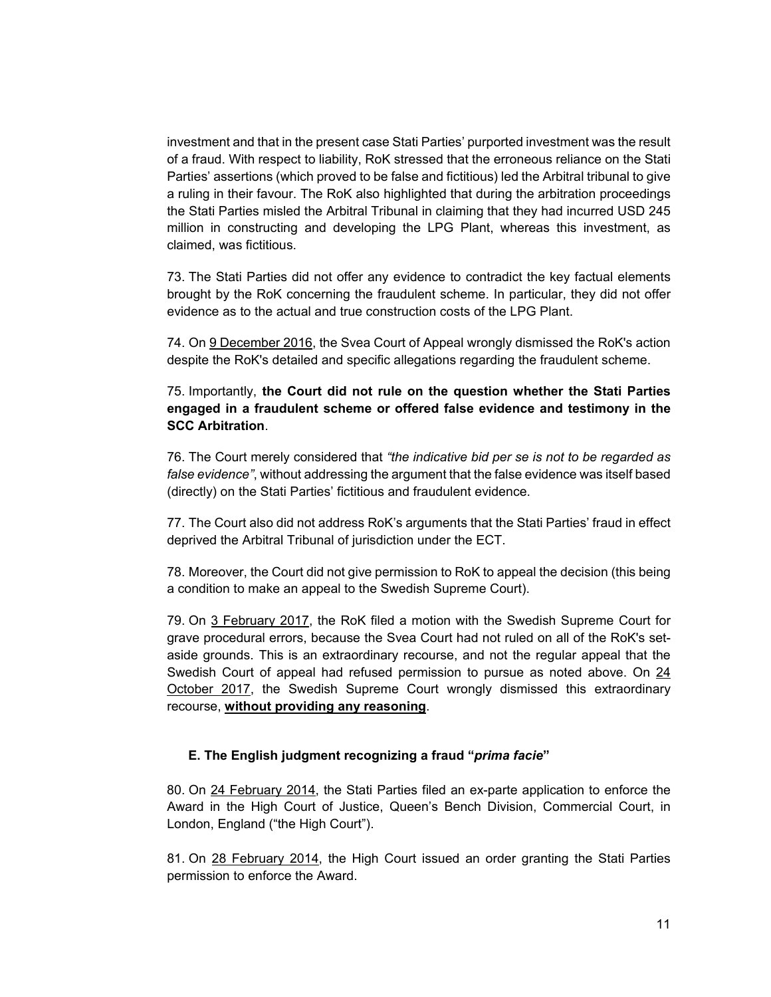investment and that in the present case Stati Parties' purported investment was the result of a fraud. With respect to liability, RoK stressed that the erroneous reliance on the Stati Parties' assertions (which proved to be false and fictitious) led the Arbitral tribunal to give a ruling in their favour. The RoK also highlighted that during the arbitration proceedings the Stati Parties misled the Arbitral Tribunal in claiming that they had incurred USD 245 million in constructing and developing the LPG Plant, whereas this investment, as claimed, was fictitious.

73. The Stati Parties did not offer any evidence to contradict the key factual elements brought by the RoK concerning the fraudulent scheme. In particular, they did not offer evidence as to the actual and true construction costs of the LPG Plant.

74. On 9 December 2016, the Svea Court of Appeal wrongly dismissed the RoK's action despite the RoK's detailed and specific allegations regarding the fraudulent scheme.

# 75. Importantly, **the Court did not rule on the question whether the Stati Parties engaged in a fraudulent scheme or offered false evidence and testimony in the SCC Arbitration**.

76. The Court merely considered that *"the indicative bid per se is not to be regarded as false evidence"*, without addressing the argument that the false evidence was itself based (directly) on the Stati Parties' fictitious and fraudulent evidence.

77. The Court also did not address RoK's arguments that the Stati Parties' fraud in effect deprived the Arbitral Tribunal of jurisdiction under the ECT.

78. Moreover, the Court did not give permission to RoK to appeal the decision (this being a condition to make an appeal to the Swedish Supreme Court).

79. On 3 February 2017, the RoK filed a motion with the Swedish Supreme Court for grave procedural errors, because the Svea Court had not ruled on all of the RoK's setaside grounds. This is an extraordinary recourse, and not the regular appeal that the Swedish Court of appeal had refused permission to pursue as noted above. On 24 October 2017, the Swedish Supreme Court wrongly dismissed this extraordinary recourse, **without providing any reasoning**.

## **E. The English judgment recognizing a fraud "***prima facie***"**

80. On 24 February 2014, the Stati Parties filed an ex-parte application to enforce the Award in the High Court of Justice, Queen's Bench Division, Commercial Court, in London, England ("the High Court").

81. On 28 February 2014, the High Court issued an order granting the Stati Parties permission to enforce the Award.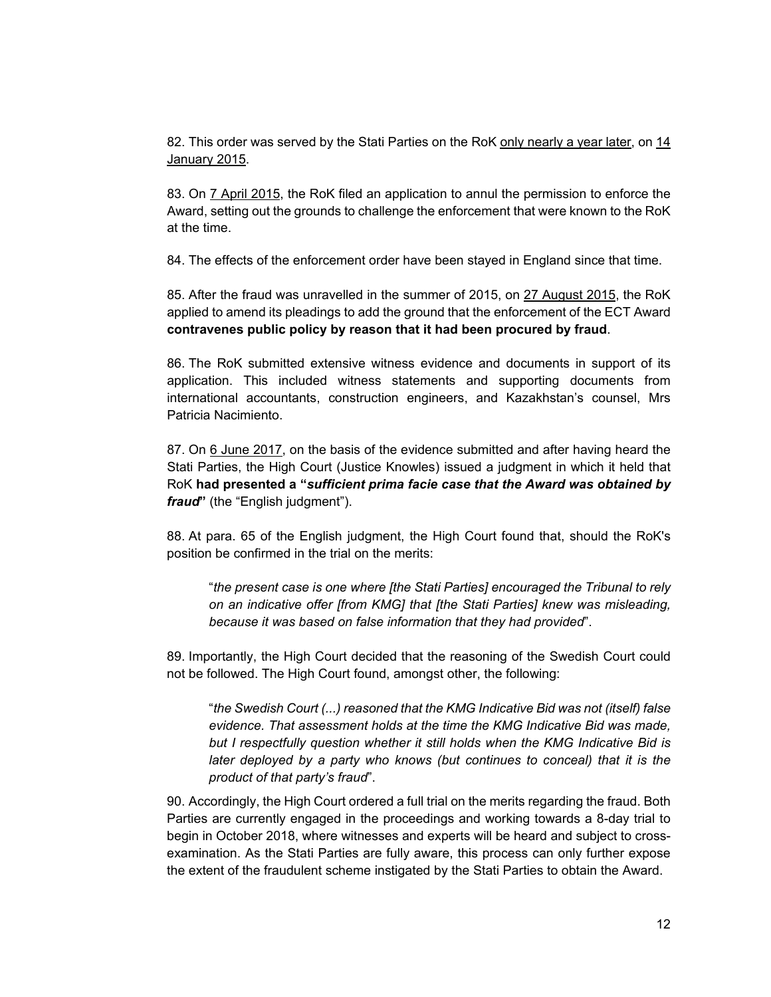82. This order was served by the Stati Parties on the RoK only nearly a year later, on 14 January 2015.

83. On 7 April 2015, the RoK filed an application to annul the permission to enforce the Award, setting out the grounds to challenge the enforcement that were known to the RoK at the time.

84. The effects of the enforcement order have been stayed in England since that time.

85. After the fraud was unravelled in the summer of 2015, on 27 August 2015, the RoK applied to amend its pleadings to add the ground that the enforcement of the ECT Award **contravenes public policy by reason that it had been procured by fraud**.

86. The RoK submitted extensive witness evidence and documents in support of its application. This included witness statements and supporting documents from international accountants, construction engineers, and Kazakhstan's counsel, Mrs Patricia Nacimiento.

87. On 6 June 2017, on the basis of the evidence submitted and after having heard the Stati Parties, the High Court (Justice Knowles) issued a judgment in which it held that RoK **had presented a "***sufficient prima facie case that the Award was obtained by fraud***"** (the "English judgment").

88. At para. 65 of the English judgment, the High Court found that, should the RoK's position be confirmed in the trial on the merits:

"*the present case is one where [the Stati Parties] encouraged the Tribunal to rely on an indicative offer [from KMG] that [the Stati Parties] knew was misleading, because it was based on false information that they had provided*".

89. Importantly, the High Court decided that the reasoning of the Swedish Court could not be followed. The High Court found, amongst other, the following:

"*the Swedish Court (...) reasoned that the KMG Indicative Bid was not (itself) false evidence. That assessment holds at the time the KMG Indicative Bid was made, but I respectfully question whether it still holds when the KMG Indicative Bid is later deployed by a party who knows (but continues to conceal) that it is the product of that party's fraud*".

90. Accordingly, the High Court ordered a full trial on the merits regarding the fraud. Both Parties are currently engaged in the proceedings and working towards a 8-day trial to begin in October 2018, where witnesses and experts will be heard and subject to crossexamination. As the Stati Parties are fully aware, this process can only further expose the extent of the fraudulent scheme instigated by the Stati Parties to obtain the Award.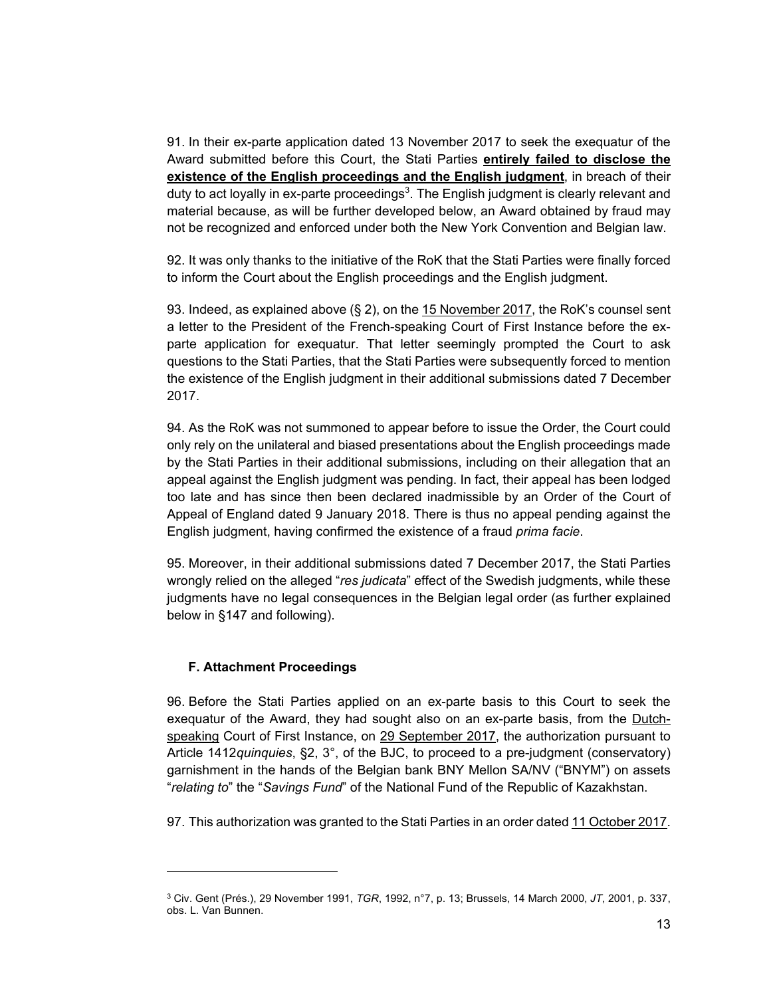91. In their ex-parte application dated 13 November 2017 to seek the exequatur of the Award submitted before this Court, the Stati Parties **entirely failed to disclose the existence of the English proceedings and the English judgment**, in breach of their duty to act loyally in ex-parte proceedings<sup>3</sup>. The English judgment is clearly relevant and material because, as will be further developed below, an Award obtained by fraud may not be recognized and enforced under both the New York Convention and Belgian law.

92. It was only thanks to the initiative of the RoK that the Stati Parties were finally forced to inform the Court about the English proceedings and the English judgment.

93. Indeed, as explained above  $(\S 2)$ , on the  $15$  November 2017, the RoK's counsel sent a letter to the President of the French-speaking Court of First Instance before the exparte application for exequatur. That letter seemingly prompted the Court to ask questions to the Stati Parties, that the Stati Parties were subsequently forced to mention the existence of the English judgment in their additional submissions dated 7 December 2017.

94. As the RoK was not summoned to appear before to issue the Order, the Court could only rely on the unilateral and biased presentations about the English proceedings made by the Stati Parties in their additional submissions, including on their allegation that an appeal against the English judgment was pending. In fact, their appeal has been lodged too late and has since then been declared inadmissible by an Order of the Court of Appeal of England dated 9 January 2018. There is thus no appeal pending against the English judgment, having confirmed the existence of a fraud *prima facie*.

95. Moreover, in their additional submissions dated 7 December 2017, the Stati Parties wrongly relied on the alleged "*res judicata*" effect of the Swedish judgments, while these judgments have no legal consequences in the Belgian legal order (as further explained below in §147 and following).

#### **F. Attachment Proceedings**

 $\overline{a}$ 

96. Before the Stati Parties applied on an ex-parte basis to this Court to seek the exequatur of the Award, they had sought also on an ex-parte basis, from the Dutchspeaking Court of First Instance, on 29 September 2017, the authorization pursuant to Article 1412*quinquies*, §2, 3°, of the BJC, to proceed to a pre-judgment (conservatory) garnishment in the hands of the Belgian bank BNY Mellon SA/NV ("BNYM") on assets "*relating to*" the "*Savings Fund*" of the National Fund of the Republic of Kazakhstan.

97. This authorization was granted to the Stati Parties in an order dated 11 October 2017.

<sup>3</sup> Civ. Gent (Prés.), 29 November 1991, *TGR*, 1992, n°7, p. 13; Brussels, 14 March 2000, *JT*, 2001, p. 337, obs. L. Van Bunnen.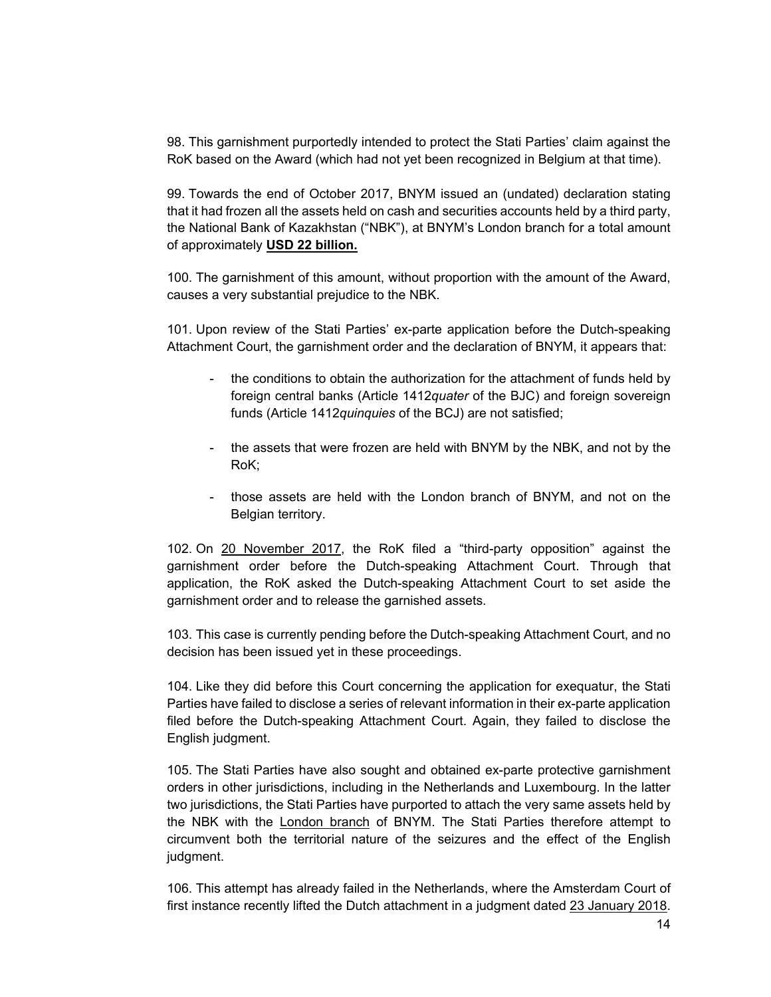98. This garnishment purportedly intended to protect the Stati Parties' claim against the RoK based on the Award (which had not yet been recognized in Belgium at that time).

99. Towards the end of October 2017, BNYM issued an (undated) declaration stating that it had frozen all the assets held on cash and securities accounts held by a third party, the National Bank of Kazakhstan ("NBK"), at BNYM's London branch for a total amount of approximately **USD 22 billion.**

100. The garnishment of this amount, without proportion with the amount of the Award, causes a very substantial prejudice to the NBK.

101. Upon review of the Stati Parties' ex-parte application before the Dutch-speaking Attachment Court, the garnishment order and the declaration of BNYM, it appears that:

- the conditions to obtain the authorization for the attachment of funds held by foreign central banks (Article 1412*quater* of the BJC) and foreign sovereign funds (Article 1412*quinquies* of the BCJ) are not satisfied;
- the assets that were frozen are held with BNYM by the NBK, and not by the RoK;
- those assets are held with the London branch of BNYM, and not on the Belgian territory.

102. On 20 November 2017, the RoK filed a "third-party opposition" against the garnishment order before the Dutch-speaking Attachment Court. Through that application, the RoK asked the Dutch-speaking Attachment Court to set aside the garnishment order and to release the garnished assets.

103. This case is currently pending before the Dutch-speaking Attachment Court, and no decision has been issued yet in these proceedings.

104. Like they did before this Court concerning the application for exequatur, the Stati Parties have failed to disclose a series of relevant information in their ex-parte application filed before the Dutch-speaking Attachment Court. Again, they failed to disclose the English judgment.

105. The Stati Parties have also sought and obtained ex-parte protective garnishment orders in other jurisdictions, including in the Netherlands and Luxembourg. In the latter two jurisdictions, the Stati Parties have purported to attach the very same assets held by the NBK with the London branch of BNYM. The Stati Parties therefore attempt to circumvent both the territorial nature of the seizures and the effect of the English judgment.

106. This attempt has already failed in the Netherlands, where the Amsterdam Court of first instance recently lifted the Dutch attachment in a judgment dated 23 January 2018.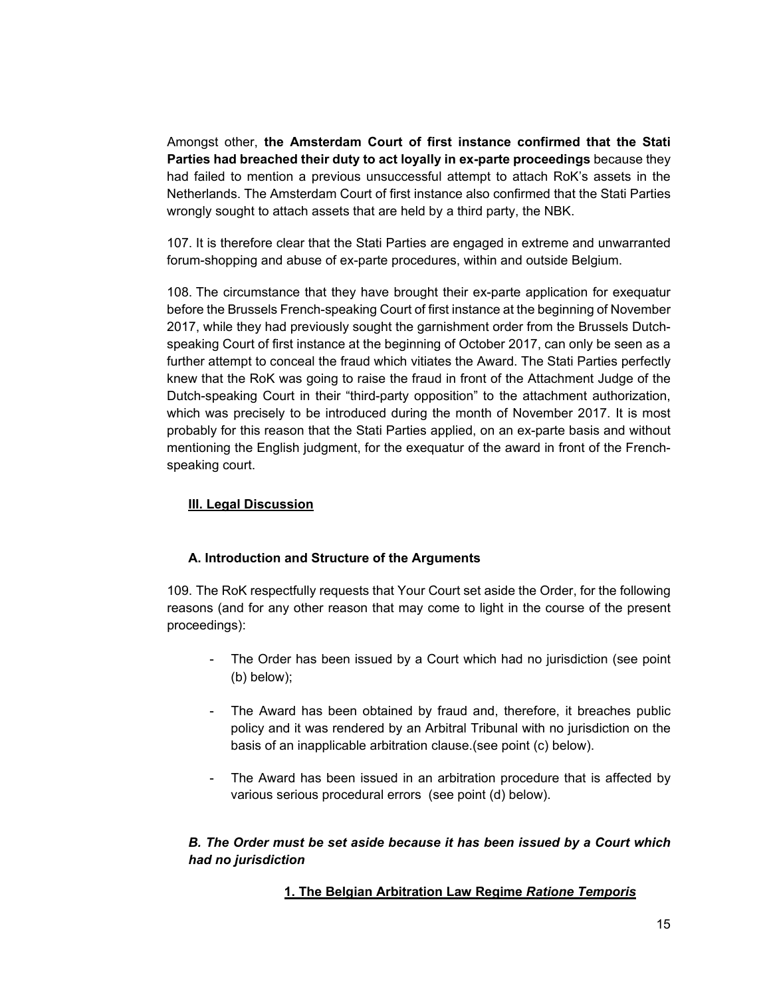Amongst other, **the Amsterdam Court of first instance confirmed that the Stati Parties had breached their duty to act loyally in ex-parte proceedings** because they had failed to mention a previous unsuccessful attempt to attach RoK's assets in the Netherlands. The Amsterdam Court of first instance also confirmed that the Stati Parties wrongly sought to attach assets that are held by a third party, the NBK.

107. It is therefore clear that the Stati Parties are engaged in extreme and unwarranted forum-shopping and abuse of ex-parte procedures, within and outside Belgium.

108. The circumstance that they have brought their ex-parte application for exequatur before the Brussels French-speaking Court of first instance at the beginning of November 2017, while they had previously sought the garnishment order from the Brussels Dutchspeaking Court of first instance at the beginning of October 2017, can only be seen as a further attempt to conceal the fraud which vitiates the Award. The Stati Parties perfectly knew that the RoK was going to raise the fraud in front of the Attachment Judge of the Dutch-speaking Court in their "third-party opposition" to the attachment authorization, which was precisely to be introduced during the month of November 2017. It is most probably for this reason that the Stati Parties applied, on an ex-parte basis and without mentioning the English judgment, for the exequatur of the award in front of the Frenchspeaking court.

# **III. Legal Discussion**

## **A. Introduction and Structure of the Arguments**

109. The RoK respectfully requests that Your Court set aside the Order, for the following reasons (and for any other reason that may come to light in the course of the present proceedings):

- The Order has been issued by a Court which had no jurisdiction (see point (b) below);
- The Award has been obtained by fraud and, therefore, it breaches public policy and it was rendered by an Arbitral Tribunal with no jurisdiction on the basis of an inapplicable arbitration clause.(see point (c) below).
- The Award has been issued in an arbitration procedure that is affected by various serious procedural errors (see point (d) below).

# *B. The Order must be set aside because it has been issued by a Court which had no jurisdiction*

# **1. The Belgian Arbitration Law Regime** *Ratione Temporis*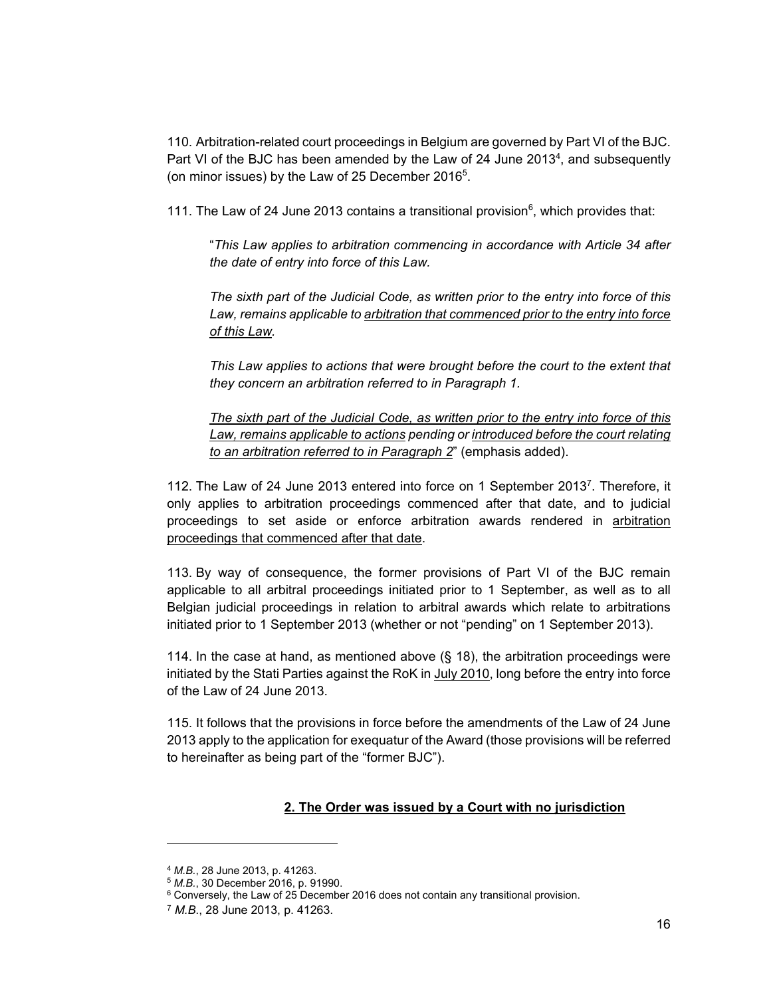110. Arbitration-related court proceedings in Belgium are governed by Part VI of the BJC. Part VI of the BJC has been amended by the Law of 24 June 2013<sup>4</sup>, and subsequently (on minor issues) by the Law of 25 December 2016<sup>5</sup>.

111. The Law of 24 June 2013 contains a transitional provision $<sup>6</sup>$ , which provides that:</sup>

"*This Law applies to arbitration commencing in accordance with Article 34 after the date of entry into force of this Law.* 

*The sixth part of the Judicial Code, as written prior to the entry into force of this Law, remains applicable to arbitration that commenced prior to the entry into force of this Law.* 

*This Law applies to actions that were brought before the court to the extent that they concern an arbitration referred to in Paragraph 1.* 

*The sixth part of the Judicial Code, as written prior to the entry into force of this Law, remains applicable to actions pending or introduced before the court relating to an arbitration referred to in Paragraph 2*" (emphasis added).

112. The Law of 24 June 2013 entered into force on 1 September 2013<sup>7</sup>. Therefore, it only applies to arbitration proceedings commenced after that date, and to judicial proceedings to set aside or enforce arbitration awards rendered in arbitration proceedings that commenced after that date.

113. By way of consequence, the former provisions of Part VI of the BJC remain applicable to all arbitral proceedings initiated prior to 1 September, as well as to all Belgian judicial proceedings in relation to arbitral awards which relate to arbitrations initiated prior to 1 September 2013 (whether or not "pending" on 1 September 2013).

114. In the case at hand, as mentioned above (§ 18), the arbitration proceedings were initiated by the Stati Parties against the RoK in July 2010, long before the entry into force of the Law of 24 June 2013.

115. It follows that the provisions in force before the amendments of the Law of 24 June 2013 apply to the application for exequatur of the Award (those provisions will be referred to hereinafter as being part of the "former BJC").

## **2. The Order was issued by a Court with no jurisdiction**

 $\overline{a}$ 

<sup>&</sup>lt;sup>4</sup> *M.B.*, 28 June 2013, p. 41263.<br><sup>5</sup> *M.B.*, 30 December 2016, p. 91990.<br><sup>6</sup> Conversely, the Law of 25 December 2016 does not contain any transitional provision.

<sup>7</sup> *M.B*., 28 June 2013, p. 41263.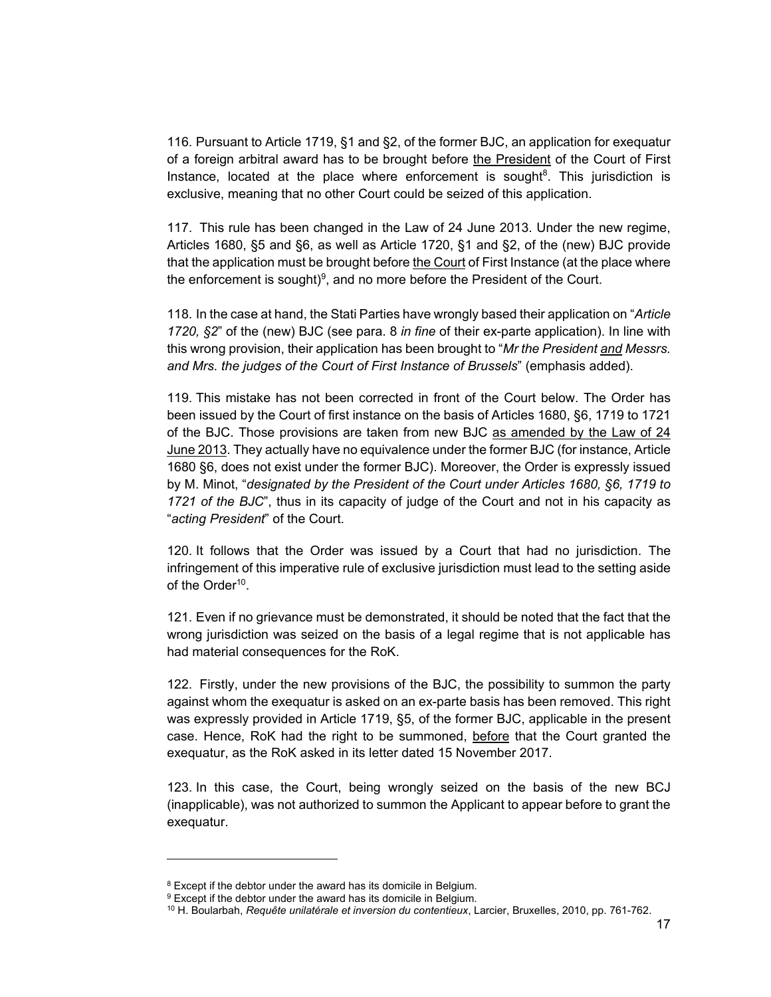116. Pursuant to Article 1719, §1 and §2, of the former BJC, an application for exequatur of a foreign arbitral award has to be brought before the President of the Court of First Instance, located at the place where enforcement is sought<sup>8</sup>. This jurisdiction is exclusive, meaning that no other Court could be seized of this application.

117. This rule has been changed in the Law of 24 June 2013. Under the new regime, Articles 1680, §5 and §6, as well as Article 1720, §1 and §2, of the (new) BJC provide that the application must be brought before the Court of First Instance (at the place where the enforcement is sought) $9$ , and no more before the President of the Court.

118. In the case at hand, the Stati Parties have wrongly based their application on "*Article 1720, §2*" of the (new) BJC (see para. 8 *in fine* of their ex-parte application). In line with this wrong provision, their application has been brought to "*Mr the President and Messrs. and Mrs. the judges of the Court of First Instance of Brussels*" (emphasis added).

119. This mistake has not been corrected in front of the Court below. The Order has been issued by the Court of first instance on the basis of Articles 1680, §6, 1719 to 1721 of the BJC. Those provisions are taken from new BJC as amended by the Law of 24 June 2013. They actually have no equivalence under the former BJC (for instance, Article 1680 §6, does not exist under the former BJC). Moreover, the Order is expressly issued by M. Minot, "*designated by the President of the Court under Articles 1680, §6, 1719 to 1721 of the BJC*", thus in its capacity of judge of the Court and not in his capacity as "*acting President*" of the Court.

120. It follows that the Order was issued by a Court that had no jurisdiction. The infringement of this imperative rule of exclusive jurisdiction must lead to the setting aside of the Order<sup>10</sup>.

121. Even if no grievance must be demonstrated, it should be noted that the fact that the wrong jurisdiction was seized on the basis of a legal regime that is not applicable has had material consequences for the RoK.

122. Firstly, under the new provisions of the BJC, the possibility to summon the party against whom the exequatur is asked on an ex-parte basis has been removed. This right was expressly provided in Article 1719, §5, of the former BJC, applicable in the present case. Hence, RoK had the right to be summoned, before that the Court granted the exequatur, as the RoK asked in its letter dated 15 November 2017.

123. In this case, the Court, being wrongly seized on the basis of the new BCJ (inapplicable), was not authorized to summon the Applicant to appear before to grant the exequatur.

l

<sup>&</sup>lt;sup>8</sup> Except if the debtor under the award has its domicile in Belgium.

<sup>&</sup>lt;sup>9</sup> Except if the debtor under the award has its domicile in Belgium.

<sup>10</sup> H. Boularbah, *Requête unilatérale et inversion du contentieux*, Larcier, Bruxelles, 2010, pp. 761-762.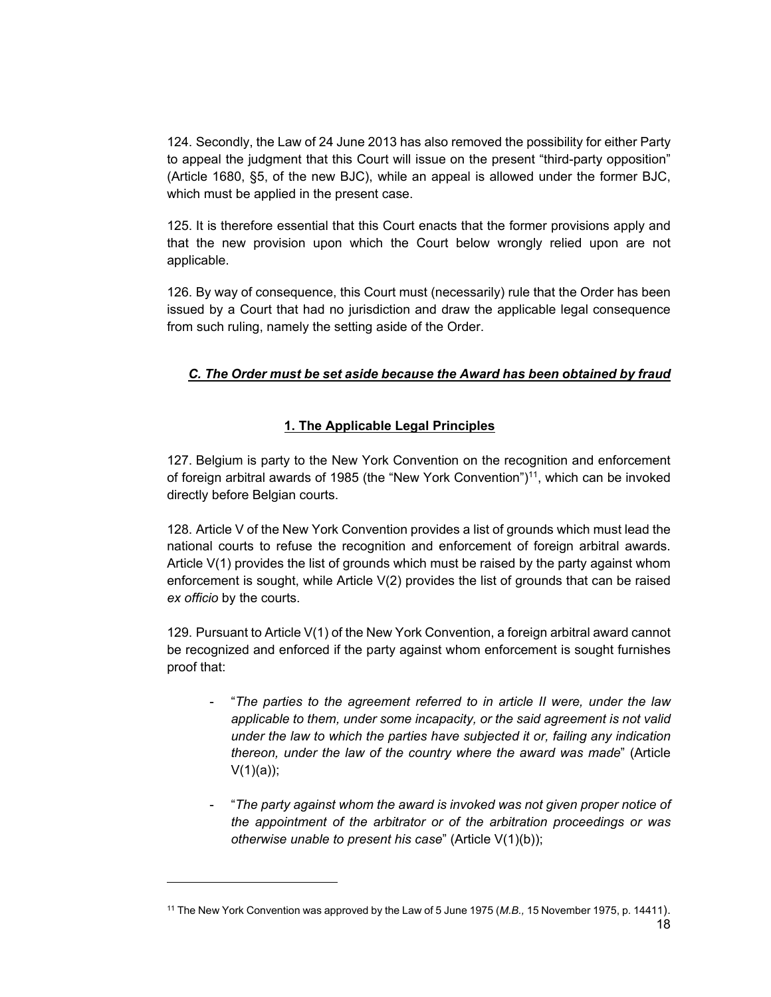124. Secondly, the Law of 24 June 2013 has also removed the possibility for either Party to appeal the judgment that this Court will issue on the present "third-party opposition" (Article 1680, §5, of the new BJC), while an appeal is allowed under the former BJC, which must be applied in the present case.

125. It is therefore essential that this Court enacts that the former provisions apply and that the new provision upon which the Court below wrongly relied upon are not applicable.

126. By way of consequence, this Court must (necessarily) rule that the Order has been issued by a Court that had no jurisdiction and draw the applicable legal consequence from such ruling, namely the setting aside of the Order.

# *C. The Order must be set aside because the Award has been obtained by fraud*

# **1. The Applicable Legal Principles**

127. Belgium is party to the New York Convention on the recognition and enforcement of foreign arbitral awards of 1985 (the "New York Convention")<sup>11</sup>, which can be invoked directly before Belgian courts.

128. Article V of the New York Convention provides a list of grounds which must lead the national courts to refuse the recognition and enforcement of foreign arbitral awards. Article V(1) provides the list of grounds which must be raised by the party against whom enforcement is sought, while Article V(2) provides the list of grounds that can be raised *ex officio* by the courts.

129. Pursuant to Article V(1) of the New York Convention, a foreign arbitral award cannot be recognized and enforced if the party against whom enforcement is sought furnishes proof that:

- "*The parties to the agreement referred to in article II were, under the law applicable to them, under some incapacity, or the said agreement is not valid under the law to which the parties have subjected it or, failing any indication thereon, under the law of the country where the award was made*" (Article  $V(1)(a)$ ;
- "*The party against whom the award is invoked was not given proper notice of the appointment of the arbitrator or of the arbitration proceedings or was otherwise unable to present his case*" (Article V(1)(b));

 $\overline{a}$ 

 $\sim$  18 11 The New York Convention was approved by the Law of 5 June 1975 (*M.B.,* 15 November 1975, p. 14411).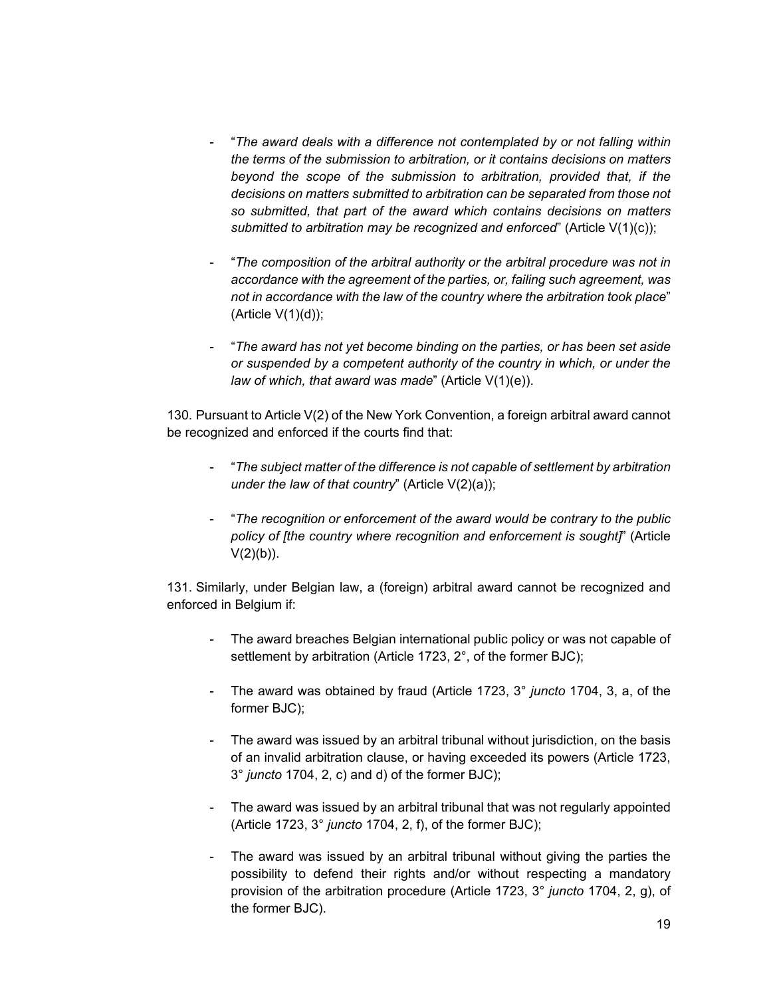- "*The award deals with a difference not contemplated by or not falling within the terms of the submission to arbitration, or it contains decisions on matters beyond the scope of the submission to arbitration, provided that, if the decisions on matters submitted to arbitration can be separated from those not so submitted, that part of the award which contains decisions on matters submitted to arbitration may be recognized and enforced*" (Article V(1)(c));
- "*The composition of the arbitral authority or the arbitral procedure was not in accordance with the agreement of the parties, or, failing such agreement, was not in accordance with the law of the country where the arbitration took place*"  $(A$ rticle  $V(1)(d)$ ;
- "*The award has not yet become binding on the parties, or has been set aside or suspended by a competent authority of the country in which, or under the law of which, that award was made*" (Article V(1)(e)).

130. Pursuant to Article V(2) of the New York Convention, a foreign arbitral award cannot be recognized and enforced if the courts find that:

- "*The subject matter of the difference is not capable of settlement by arbitration under the law of that country*" (Article V(2)(a));
- "*The recognition or enforcement of the award would be contrary to the public policy of [the country where recognition and enforcement is sought]*" (Article  $V(2)(b)$ ).

131. Similarly, under Belgian law, a (foreign) arbitral award cannot be recognized and enforced in Belgium if:

- The award breaches Belgian international public policy or was not capable of settlement by arbitration (Article 1723, 2°, of the former BJC);
- The award was obtained by fraud (Article 1723, 3° *juncto* 1704, 3, a, of the former BJC);
- The award was issued by an arbitral tribunal without jurisdiction, on the basis of an invalid arbitration clause, or having exceeded its powers (Article 1723, 3° *juncto* 1704, 2, c) and d) of the former BJC);
- The award was issued by an arbitral tribunal that was not regularly appointed (Article 1723, 3° *juncto* 1704, 2, f), of the former BJC);
- The award was issued by an arbitral tribunal without giving the parties the possibility to defend their rights and/or without respecting a mandatory provision of the arbitration procedure (Article 1723, 3° *juncto* 1704, 2, g), of the former BJC).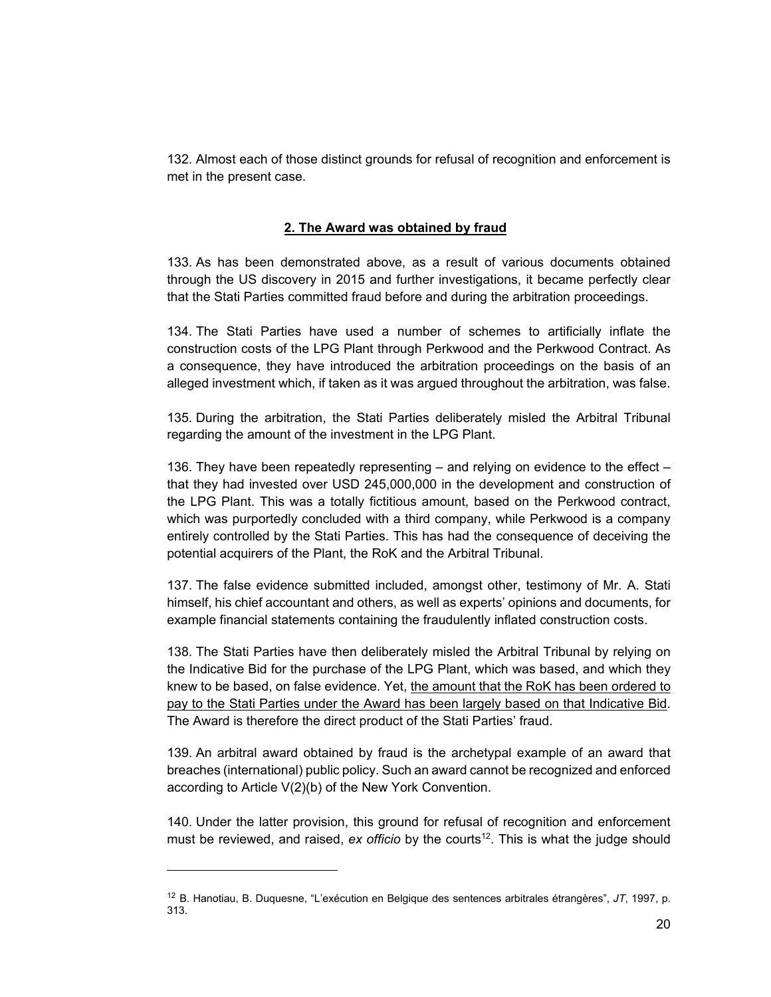132. Almost each of those distinct grounds for refusal of recognition and enforcement is met in the present case.

#### **2. The Award was obtained by fraud**

133. As has been demonstrated above, as a result of various documents obtained through the US discovery in 2015 and further investigations, it became perfectly clear that the Stati Parties committed fraud before and during the arbitration proceedings.

134. The Stati Parties have used a number of schemes to artificially inflate the construction costs of the LPG Plant through Perkwood and the Perkwood Contract. As a consequence, they have introduced the arbitration proceedings on the basis of an alleged investment which, if taken as it was argued throughout the arbitration, was false.

135. During the arbitration, the Stati Parties deliberately misled the Arbitral Tribunal regarding the amount of the investment in the LPG Plant.

136. They have been repeatedly representing – and relying on evidence to the effect – that they had invested over USD 245,000,000 in the development and construction of the LPG Plant. This was a totally fictitious amount, based on the Perkwood contract, which was purportedly concluded with a third company, while Perkwood is a company entirely controlled by the Stati Parties. This has had the consequence of deceiving the potential acquirers of the Plant, the RoK and the Arbitral Tribunal.

137. The false evidence submitted included, amongst other, testimony of Mr. A. Stati himself, his chief accountant and others, as well as experts' opinions and documents, for example financial statements containing the fraudulently inflated construction costs.

138. The Stati Parties have then deliberately misled the Arbitral Tribunal by relying on the Indicative Bid for the purchase of the LPG Plant, which was based, and which they knew to be based, on false evidence. Yet, the amount that the RoK has been ordered to pay to the Stati Parties under the Award has been largely based on that Indicative Bid. The Award is therefore the direct product of the Stati Parties' fraud.

139. An arbitral award obtained by fraud is the archetypal example of an award that breaches (international) public policy. Such an award cannot be recognized and enforced according to Article V(2)(b) of the New York Convention.

140. Under the latter provision, this ground for refusal of recognition and enforcement must be reviewed, and raised, *ex officio* by the courts<sup>12</sup>. This is what the judge should

 $\overline{a}$ 

<sup>12</sup> B. Hanotiau, B. Duquesne, "L'exécution en Belgique des sentences arbitrales étrangères", *JT*, 1997, p. 313.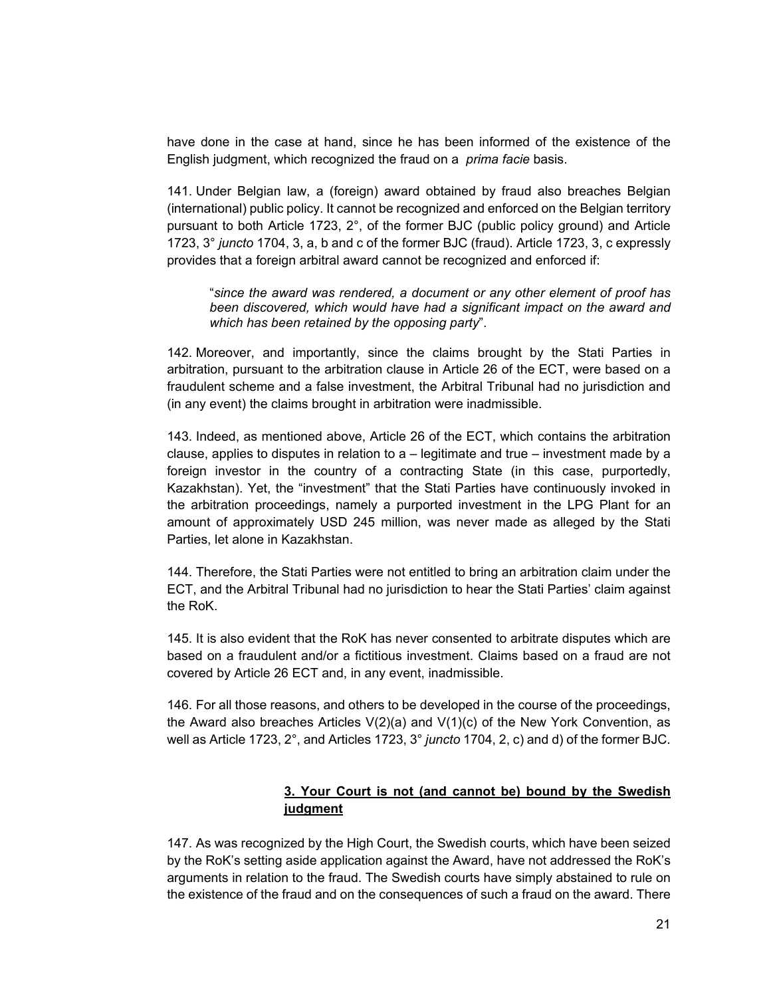have done in the case at hand, since he has been informed of the existence of the English judgment, which recognized the fraud on a *prima facie* basis.

141. Under Belgian law, a (foreign) award obtained by fraud also breaches Belgian (international) public policy. It cannot be recognized and enforced on the Belgian territory pursuant to both Article 1723, 2°, of the former BJC (public policy ground) and Article 1723, 3° *juncto* 1704, 3, a, b and c of the former BJC (fraud). Article 1723, 3, c expressly provides that a foreign arbitral award cannot be recognized and enforced if:

"*since the award was rendered, a document or any other element of proof has been discovered, which would have had a significant impact on the award and which has been retained by the opposing party*".

142. Moreover, and importantly, since the claims brought by the Stati Parties in arbitration, pursuant to the arbitration clause in Article 26 of the ECT, were based on a fraudulent scheme and a false investment, the Arbitral Tribunal had no jurisdiction and (in any event) the claims brought in arbitration were inadmissible.

143. Indeed, as mentioned above, Article 26 of the ECT, which contains the arbitration clause, applies to disputes in relation to a – legitimate and true – investment made by a foreign investor in the country of a contracting State (in this case, purportedly, Kazakhstan). Yet, the "investment" that the Stati Parties have continuously invoked in the arbitration proceedings, namely a purported investment in the LPG Plant for an amount of approximately USD 245 million, was never made as alleged by the Stati Parties, let alone in Kazakhstan.

144. Therefore, the Stati Parties were not entitled to bring an arbitration claim under the ECT, and the Arbitral Tribunal had no jurisdiction to hear the Stati Parties' claim against the RoK.

145. It is also evident that the RoK has never consented to arbitrate disputes which are based on a fraudulent and/or a fictitious investment. Claims based on a fraud are not covered by Article 26 ECT and, in any event, inadmissible.

146. For all those reasons, and others to be developed in the course of the proceedings, the Award also breaches Articles  $V(2)(a)$  and  $V(1)(c)$  of the New York Convention, as well as Article 1723, 2°, and Articles 1723, 3° *juncto* 1704, 2, c) and d) of the former BJC.

# **3. Your Court is not (and cannot be) bound by the Swedish judgment**

147. As was recognized by the High Court, the Swedish courts, which have been seized by the RoK's setting aside application against the Award, have not addressed the RoK's arguments in relation to the fraud. The Swedish courts have simply abstained to rule on the existence of the fraud and on the consequences of such a fraud on the award. There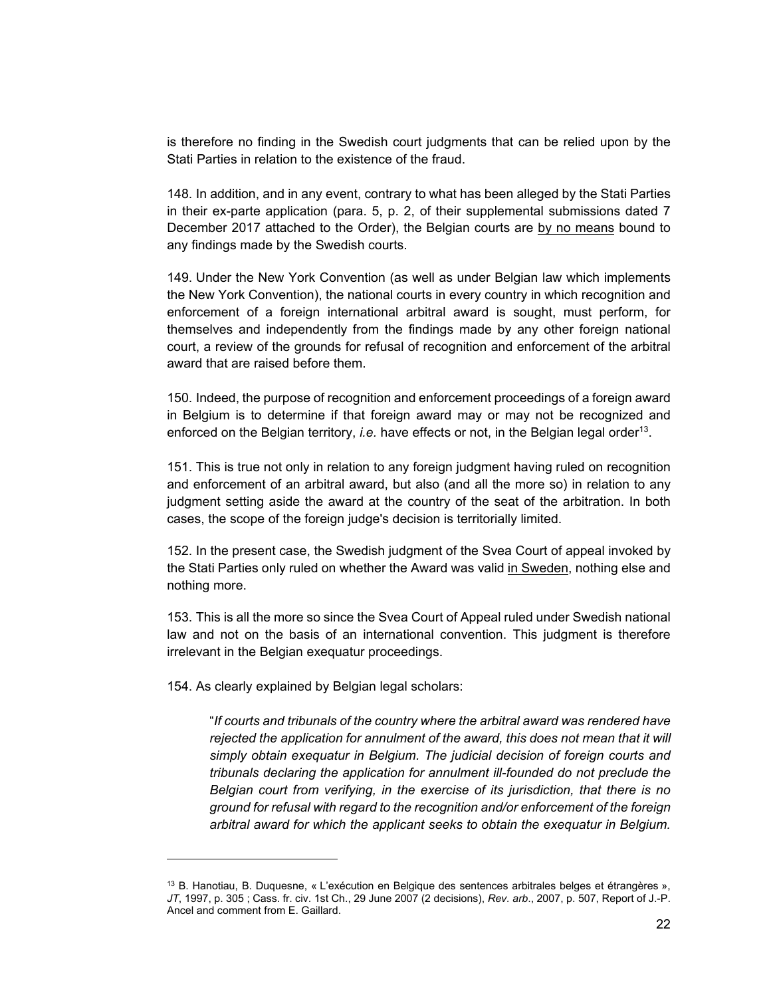is therefore no finding in the Swedish court judgments that can be relied upon by the Stati Parties in relation to the existence of the fraud.

148. In addition, and in any event, contrary to what has been alleged by the Stati Parties in their ex-parte application (para. 5, p. 2, of their supplemental submissions dated 7 December 2017 attached to the Order), the Belgian courts are by no means bound to any findings made by the Swedish courts.

149. Under the New York Convention (as well as under Belgian law which implements the New York Convention), the national courts in every country in which recognition and enforcement of a foreign international arbitral award is sought, must perform, for themselves and independently from the findings made by any other foreign national court, a review of the grounds for refusal of recognition and enforcement of the arbitral award that are raised before them.

150. Indeed, the purpose of recognition and enforcement proceedings of a foreign award in Belgium is to determine if that foreign award may or may not be recognized and enforced on the Belgian territory, *i.e.* have effects or not, in the Belgian legal order<sup>13</sup>.

151. This is true not only in relation to any foreign judgment having ruled on recognition and enforcement of an arbitral award, but also (and all the more so) in relation to any judgment setting aside the award at the country of the seat of the arbitration. In both cases, the scope of the foreign judge's decision is territorially limited.

152. In the present case, the Swedish judgment of the Svea Court of appeal invoked by the Stati Parties only ruled on whether the Award was valid in Sweden, nothing else and nothing more.

153. This is all the more so since the Svea Court of Appeal ruled under Swedish national law and not on the basis of an international convention. This judgment is therefore irrelevant in the Belgian exequatur proceedings.

154. As clearly explained by Belgian legal scholars:

l

"*If courts and tribunals of the country where the arbitral award was rendered have rejected the application for annulment of the award, this does not mean that it will simply obtain exequatur in Belgium. The judicial decision of foreign courts and tribunals declaring the application for annulment ill-founded do not preclude the Belgian court from verifying, in the exercise of its jurisdiction, that there is no ground for refusal with regard to the recognition and/or enforcement of the foreign arbitral award for which the applicant seeks to obtain the exequatur in Belgium.* 

<sup>13</sup> B. Hanotiau, B. Duquesne, « L'exécution en Belgique des sentences arbitrales belges et étrangères », *JT*, 1997, p. 305 ; Cass. fr. civ. 1st Ch., 29 June 2007 (2 decisions), *Rev. arb*., 2007, p. 507, Report of J.-P. Ancel and comment from E. Gaillard.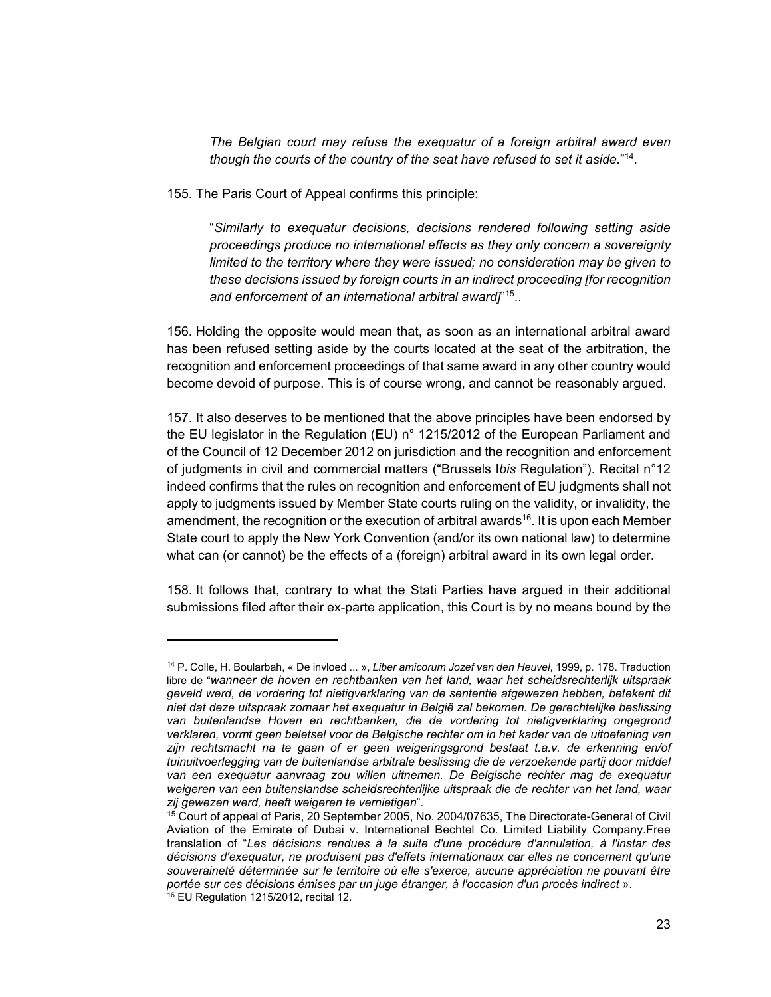*The Belgian court may refuse the exequatur of a foreign arbitral award even though the courts of the country of the seat have refused to set it aside.*" 14.

155. The Paris Court of Appeal confirms this principle:

l

"*Similarly to exequatur decisions, decisions rendered following setting aside proceedings produce no international effects as they only concern a sovereignty limited to the territory where they were issued; no consideration may be given to these decisions issued by foreign courts in an indirect proceeding [for recognition and enforcement of an international arbitral award]*" 15..

156. Holding the opposite would mean that, as soon as an international arbitral award has been refused setting aside by the courts located at the seat of the arbitration, the recognition and enforcement proceedings of that same award in any other country would become devoid of purpose. This is of course wrong, and cannot be reasonably argued.

157. It also deserves to be mentioned that the above principles have been endorsed by the EU legislator in the Regulation (EU) n° 1215/2012 of the European Parliament and of the Council of 12 December 2012 on jurisdiction and the recognition and enforcement of judgments in civil and commercial matters ("Brussels I*bis* Regulation"). Recital n°12 indeed confirms that the rules on recognition and enforcement of EU judgments shall not apply to judgments issued by Member State courts ruling on the validity, or invalidity, the amendment, the recognition or the execution of arbitral awards<sup>16</sup>. It is upon each Member State court to apply the New York Convention (and/or its own national law) to determine what can (or cannot) be the effects of a (foreign) arbitral award in its own legal order.

158. It follows that, contrary to what the Stati Parties have argued in their additional submissions filed after their ex-parte application, this Court is by no means bound by the

<sup>14</sup> P. Colle, H. Boularbah, « De invloed ... », *Liber amicorum Jozef van den Heuvel*, 1999, p. 178. Traduction libre de "*wanneer de hoven en rechtbanken van het land, waar het scheidsrechterlijk uitspraak geveld werd, de vordering tot nietigverklaring van de sententie afgewezen hebben, betekent dit niet dat deze uitspraak zomaar het exequatur in België zal bekomen. De gerechtelijke beslissing van buitenlandse Hoven en rechtbanken, die de vordering tot nietigverklaring ongegrond verklaren, vormt geen beletsel voor de Belgische rechter om in het kader van de uitoefening van zijn rechtsmacht na te gaan of er geen weigeringsgrond bestaat t.a.v. de erkenning en/of tuinuitvoerlegging van de buitenlandse arbitrale beslissing die de verzoekende partij door middel van een exequatur aanvraag zou willen uitnemen. De Belgische rechter mag de exequatur weigeren van een buitenslandse scheidsrechterlijke uitspraak die de rechter van het land, waar zij gewezen werd, heeft weigeren te vernietigen*".

<sup>&</sup>lt;sup>15</sup> Court of appeal of Paris, 20 September 2005, No. 2004/07635, The Directorate-General of Civil Aviation of the Emirate of Dubai v. International Bechtel Co. Limited Liability Company.Free translation of "*Les décisions rendues à la suite d'une procédure d'annulation, à l'instar des décisions d'exequatur, ne produisent pas d'effets internationaux car elles ne concernent qu'une*  souveraineté déterminée sur le territoire où elle s'exerce, aucune appréciation ne pouvant être *portée sur ces décisions émises par un juge étranger, à l'occasion d'un procès indirect* ». 16 EU Regulation 1215/2012, recital 12.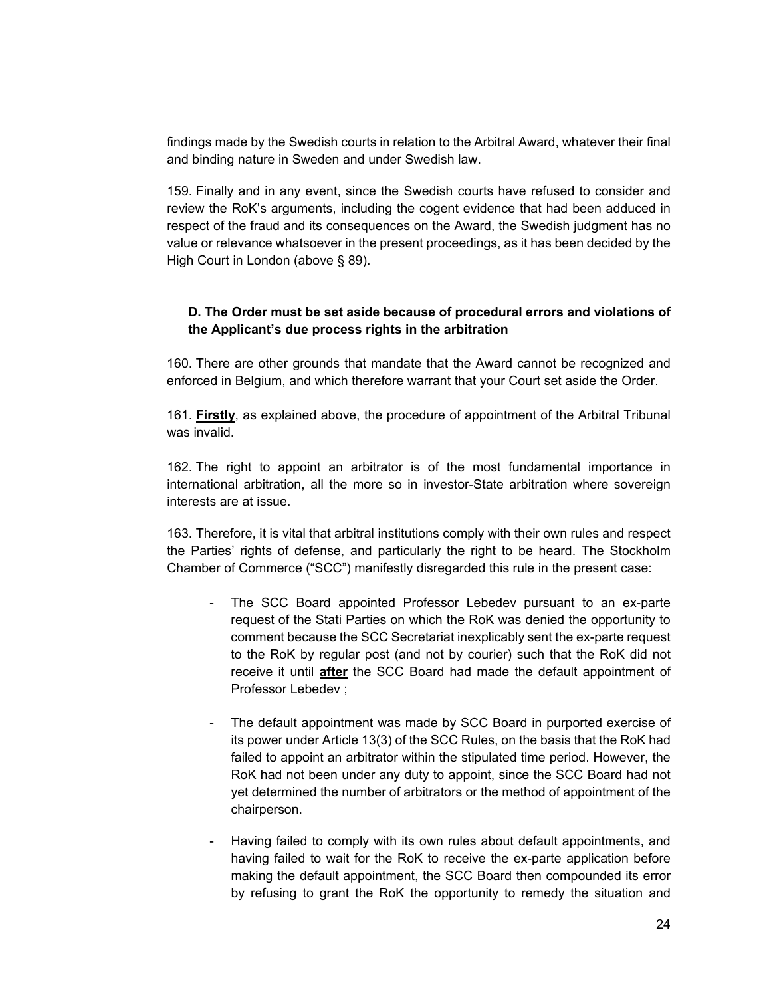findings made by the Swedish courts in relation to the Arbitral Award, whatever their final and binding nature in Sweden and under Swedish law.

159. Finally and in any event, since the Swedish courts have refused to consider and review the RoK's arguments, including the cogent evidence that had been adduced in respect of the fraud and its consequences on the Award, the Swedish judgment has no value or relevance whatsoever in the present proceedings, as it has been decided by the High Court in London (above § 89).

# **D. The Order must be set aside because of procedural errors and violations of the Applicant's due process rights in the arbitration**

160. There are other grounds that mandate that the Award cannot be recognized and enforced in Belgium, and which therefore warrant that your Court set aside the Order.

161. **Firstly**, as explained above, the procedure of appointment of the Arbitral Tribunal was invalid.

162. The right to appoint an arbitrator is of the most fundamental importance in international arbitration, all the more so in investor-State arbitration where sovereign interests are at issue.

163. Therefore, it is vital that arbitral institutions comply with their own rules and respect the Parties' rights of defense, and particularly the right to be heard. The Stockholm Chamber of Commerce ("SCC") manifestly disregarded this rule in the present case:

- The SCC Board appointed Professor Lebedev pursuant to an ex-parte request of the Stati Parties on which the RoK was denied the opportunity to comment because the SCC Secretariat inexplicably sent the ex-parte request to the RoK by regular post (and not by courier) such that the RoK did not receive it until **after** the SCC Board had made the default appointment of Professor Lebedev ;
- The default appointment was made by SCC Board in purported exercise of its power under Article 13(3) of the SCC Rules, on the basis that the RoK had failed to appoint an arbitrator within the stipulated time period. However, the RoK had not been under any duty to appoint, since the SCC Board had not yet determined the number of arbitrators or the method of appointment of the chairperson.
- Having failed to comply with its own rules about default appointments, and having failed to wait for the RoK to receive the ex-parte application before making the default appointment, the SCC Board then compounded its error by refusing to grant the RoK the opportunity to remedy the situation and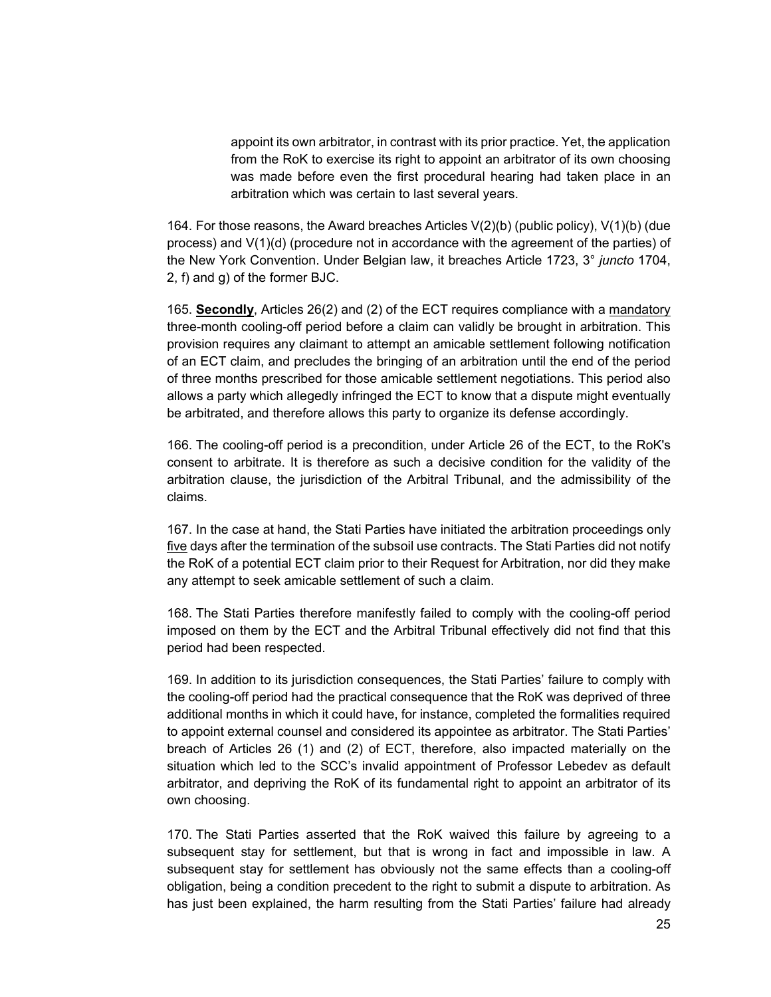appoint its own arbitrator, in contrast with its prior practice. Yet, the application from the RoK to exercise its right to appoint an arbitrator of its own choosing was made before even the first procedural hearing had taken place in an arbitration which was certain to last several years.

164. For those reasons, the Award breaches Articles V(2)(b) (public policy), V(1)(b) (due process) and V(1)(d) (procedure not in accordance with the agreement of the parties) of the New York Convention. Under Belgian law, it breaches Article 1723, 3° *juncto* 1704, 2, f) and g) of the former BJC.

165. **Secondly**, Articles 26(2) and (2) of the ECT requires compliance with a mandatory three-month cooling-off period before a claim can validly be brought in arbitration. This provision requires any claimant to attempt an amicable settlement following notification of an ECT claim, and precludes the bringing of an arbitration until the end of the period of three months prescribed for those amicable settlement negotiations. This period also allows a party which allegedly infringed the ECT to know that a dispute might eventually be arbitrated, and therefore allows this party to organize its defense accordingly.

166. The cooling-off period is a precondition, under Article 26 of the ECT, to the RoK's consent to arbitrate. It is therefore as such a decisive condition for the validity of the arbitration clause, the jurisdiction of the Arbitral Tribunal, and the admissibility of the claims.

167. In the case at hand, the Stati Parties have initiated the arbitration proceedings only five days after the termination of the subsoil use contracts. The Stati Parties did not notify the RoK of a potential ECT claim prior to their Request for Arbitration, nor did they make any attempt to seek amicable settlement of such a claim.

168. The Stati Parties therefore manifestly failed to comply with the cooling-off period imposed on them by the ECT and the Arbitral Tribunal effectively did not find that this period had been respected.

169. In addition to its jurisdiction consequences, the Stati Parties' failure to comply with the cooling-off period had the practical consequence that the RoK was deprived of three additional months in which it could have, for instance, completed the formalities required to appoint external counsel and considered its appointee as arbitrator. The Stati Parties' breach of Articles 26 (1) and (2) of ECT, therefore, also impacted materially on the situation which led to the SCC's invalid appointment of Professor Lebedev as default arbitrator, and depriving the RoK of its fundamental right to appoint an arbitrator of its own choosing.

170. The Stati Parties asserted that the RoK waived this failure by agreeing to a subsequent stay for settlement, but that is wrong in fact and impossible in law. A subsequent stay for settlement has obviously not the same effects than a cooling-off obligation, being a condition precedent to the right to submit a dispute to arbitration. As has just been explained, the harm resulting from the Stati Parties' failure had already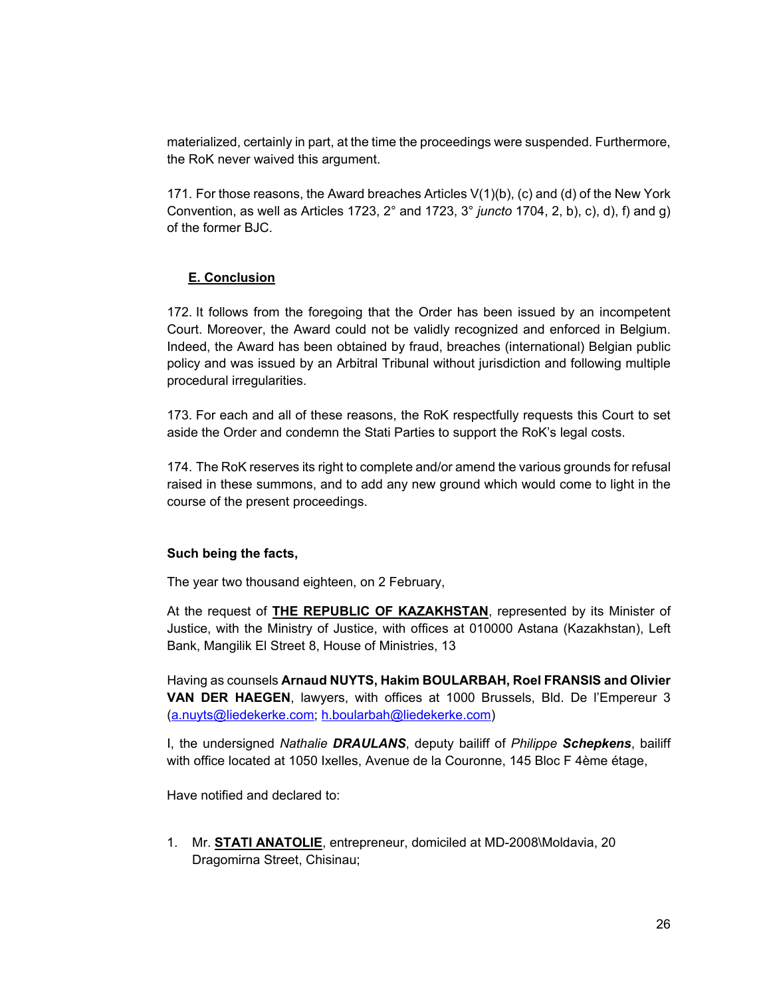materialized, certainly in part, at the time the proceedings were suspended. Furthermore, the RoK never waived this argument.

171. For those reasons, the Award breaches Articles  $V(1)(b)$ , (c) and (d) of the New York Convention, as well as Articles 1723, 2° and 1723, 3° *juncto* 1704, 2, b), c), d), f) and g) of the former BJC.

## **E. Conclusion**

172. It follows from the foregoing that the Order has been issued by an incompetent Court. Moreover, the Award could not be validly recognized and enforced in Belgium. Indeed, the Award has been obtained by fraud, breaches (international) Belgian public policy and was issued by an Arbitral Tribunal without jurisdiction and following multiple procedural irregularities.

173. For each and all of these reasons, the RoK respectfully requests this Court to set aside the Order and condemn the Stati Parties to support the RoK's legal costs.

174. The RoK reserves its right to complete and/or amend the various grounds for refusal raised in these summons, and to add any new ground which would come to light in the course of the present proceedings.

## **Such being the facts,**

The year two thousand eighteen, on 2 February,

At the request of **THE REPUBLIC OF KAZAKHSTAN**, represented by its Minister of Justice, with the Ministry of Justice, with offices at 010000 Astana (Kazakhstan), Left Bank, Mangilik El Street 8, House of Ministries, 13

Having as counsels **Arnaud NUYTS, Hakim BOULARBAH, Roel FRANSIS and Olivier VAN DER HAEGEN**, lawyers, with offices at 1000 Brussels, Bld. De l'Empereur 3 (a.nuyts@liedekerke.com; h.boularbah@liedekerke.com)

I, the undersigned *Nathalie DRAULANS*, deputy bailiff of *Philippe Schepkens*, bailiff with office located at 1050 Ixelles, Avenue de la Couronne, 145 Bloc F 4ème étage,

Have notified and declared to:

1. Mr. **STATI ANATOLIE**, entrepreneur, domiciled at MD-2008\Moldavia, 20 Dragomirna Street, Chisinau;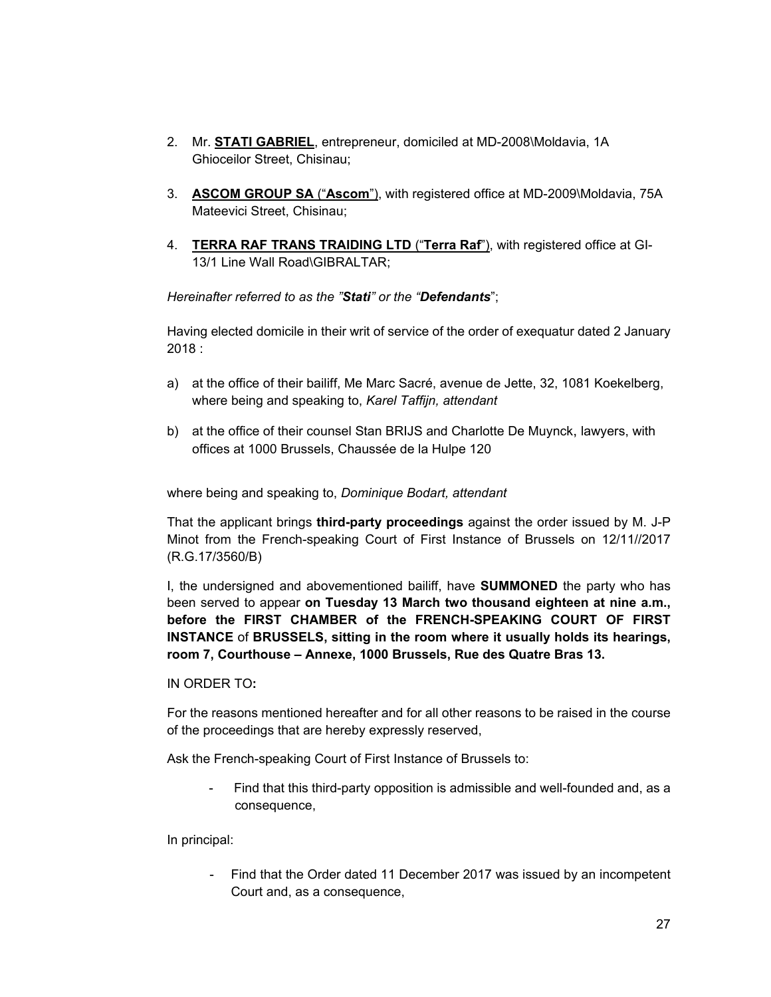- 2. Mr. **STATI GABRIEL**, entrepreneur, domiciled at MD-2008\Moldavia, 1A Ghioceilor Street, Chisinau;
- 3. **ASCOM GROUP SA** ("**Ascom**"), with registered office at MD-2009\Moldavia, 75A Mateevici Street, Chisinau;
- 4. **TERRA RAF TRANS TRAIDING LTD** ("**Terra Raf**"), with registered office at GI-13/1 Line Wall Road\GIBRALTAR;

*Hereinafter referred to as the "Stati" or the "Defendants*";

Having elected domicile in their writ of service of the order of exequatur dated 2 January 2018 :

- a) at the office of their bailiff, Me Marc Sacré, avenue de Jette, 32, 1081 Koekelberg, where being and speaking to, *Karel Taffijn, attendant*
- b) at the office of their counsel Stan BRIJS and Charlotte De Muynck, lawyers, with offices at 1000 Brussels, Chaussée de la Hulpe 120

where being and speaking to, *Dominique Bodart, attendant* 

That the applicant brings **third-party proceedings** against the order issued by M. J-P Minot from the French-speaking Court of First Instance of Brussels on 12/11//2017 (R.G.17/3560/B)

I, the undersigned and abovementioned bailiff, have **SUMMONED** the party who has been served to appear **on Tuesday 13 March two thousand eighteen at nine a.m., before the FIRST CHAMBER of the FRENCH-SPEAKING COURT OF FIRST INSTANCE** of **BRUSSELS, sitting in the room where it usually holds its hearings, room 7, Courthouse – Annexe, 1000 Brussels, Rue des Quatre Bras 13.** 

IN ORDER TO**:** 

For the reasons mentioned hereafter and for all other reasons to be raised in the course of the proceedings that are hereby expressly reserved,

Ask the French-speaking Court of First Instance of Brussels to:

Find that this third-party opposition is admissible and well-founded and, as a consequence,

In principal:

- Find that the Order dated 11 December 2017 was issued by an incompetent Court and, as a consequence,